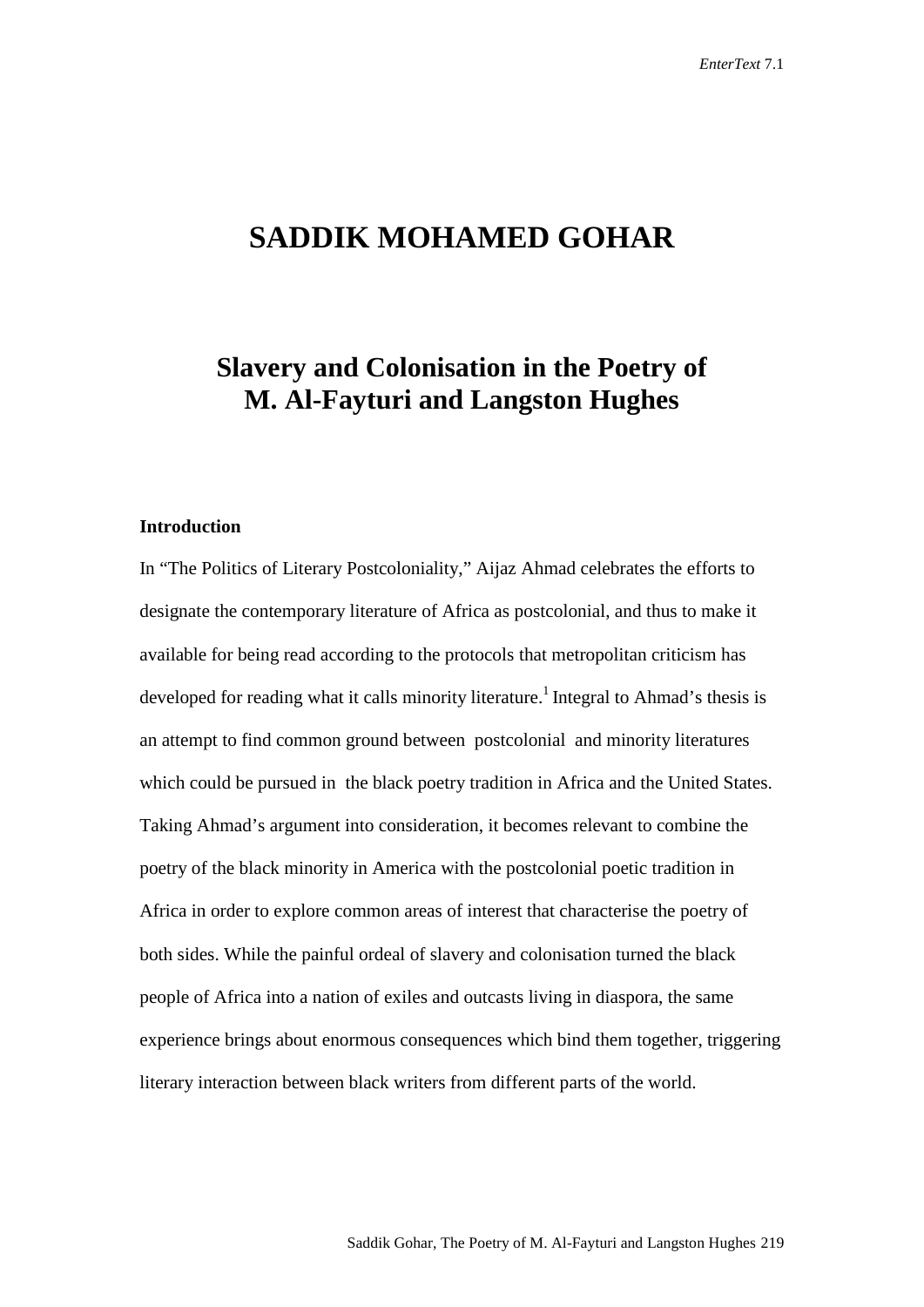# **SADDIK MOHAMED GOHAR**

# **Slavery and Colonisation in the Poetry of M. Al-Fayturi and Langston Hughes**

## **Introduction**

In "The Politics of Literary Postcoloniality," Aijaz Ahmad celebrates the efforts to designate the contemporary literature of Africa as postcolonial, and thus to make it available for being read according to the protocols that metropolitan criticism has developed for reading what it calls minority literature.<sup>1</sup> Integral to Ahmad's thesis is an attempt to find common ground between postcolonial and minority literatures which could be pursued in the black poetry tradition in Africa and the United States. Taking Ahmad's argument into consideration, it becomes relevant to combine the poetry of the black minority in America with the postcolonial poetic tradition in Africa in order to explore common areas of interest that characterise the poetry of both sides. While the painful ordeal of slavery and colonisation turned the black people of Africa into a nation of exiles and outcasts living in diaspora, the same experience brings about enormous consequences which bind them together, triggering literary interaction between black writers from different parts of the world.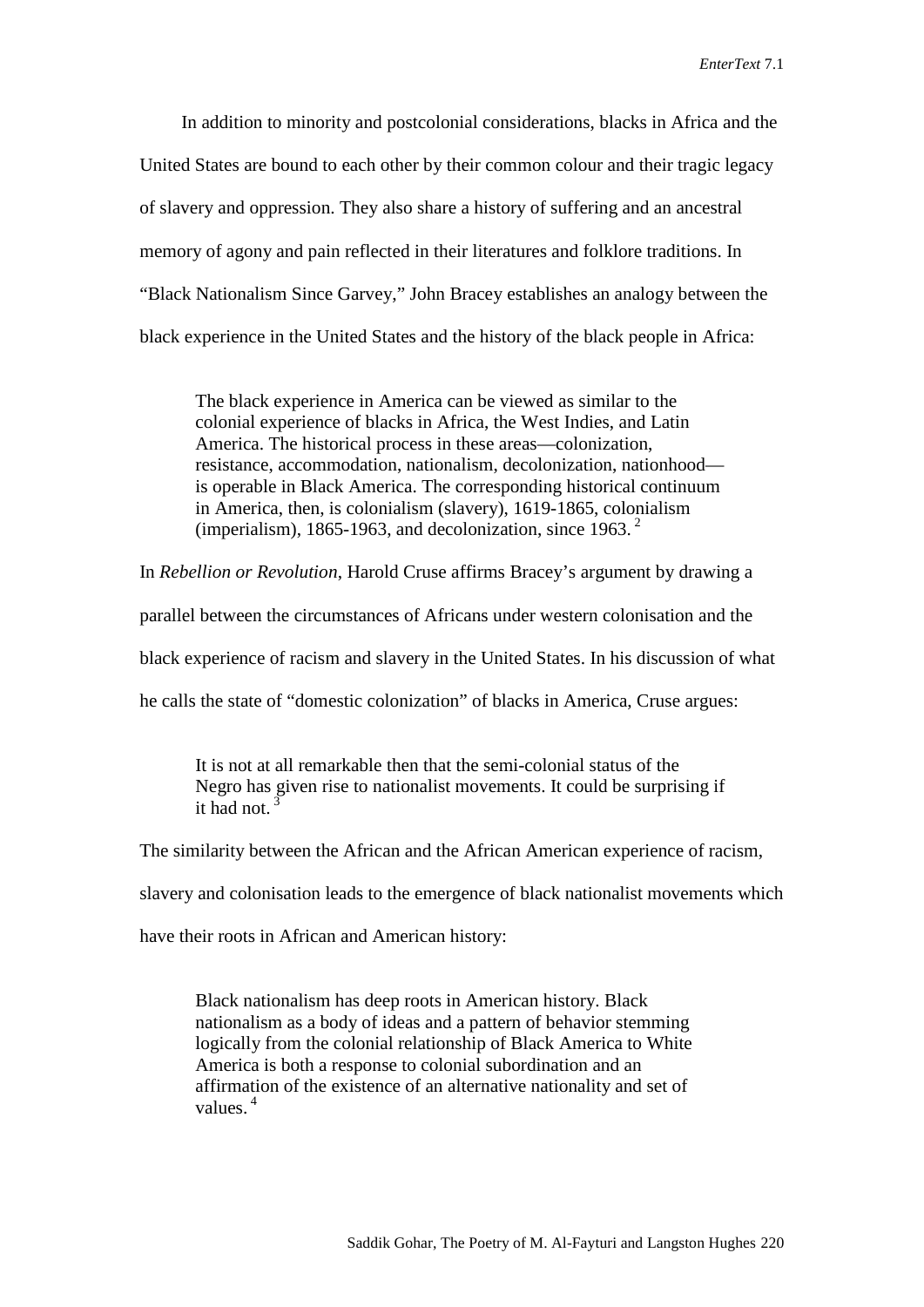In addition to minority and postcolonial considerations, blacks in Africa and the United States are bound to each other by their common colour and their tragic legacy of slavery and oppression. They also share a history of suffering and an ancestral memory of agony and pain reflected in their literatures and folklore traditions. In "Black Nationalism Since Garvey," John Bracey establishes an analogy between the black experience in the United States and the history of the black people in Africa:

The black experience in America can be viewed as similar to the colonial experience of blacks in Africa, the West Indies, and Latin America. The historical process in these areas—colonization, resistance, accommodation, nationalism, decolonization, nationhood is operable in Black America. The corresponding historical continuum in America, then, is colonialism (slavery), 1619-1865, colonialism (imperialism), 1865-1963, and decolonization, since 1963. 2

In *Rebellion or Revolution*, Harold Cruse affirms Bracey's argument by drawing a

parallel between the circumstances of Africans under western colonisation and the

black experience of racism and slavery in the United States. In his discussion of what

he calls the state of "domestic colonization" of blacks in America, Cruse argues:

It is not at all remarkable then that the semi-colonial status of the Negro has given rise to nationalist movements. It could be surprising if it had not.<sup>3</sup>

The similarity between the African and the African American experience of racism,

slavery and colonisation leads to the emergence of black nationalist movements which

have their roots in African and American history:

Black nationalism has deep roots in American history. Black nationalism as a body of ideas and a pattern of behavior stemming logically from the colonial relationship of Black America to White America is both a response to colonial subordination and an affirmation of the existence of an alternative nationality and set of values. 4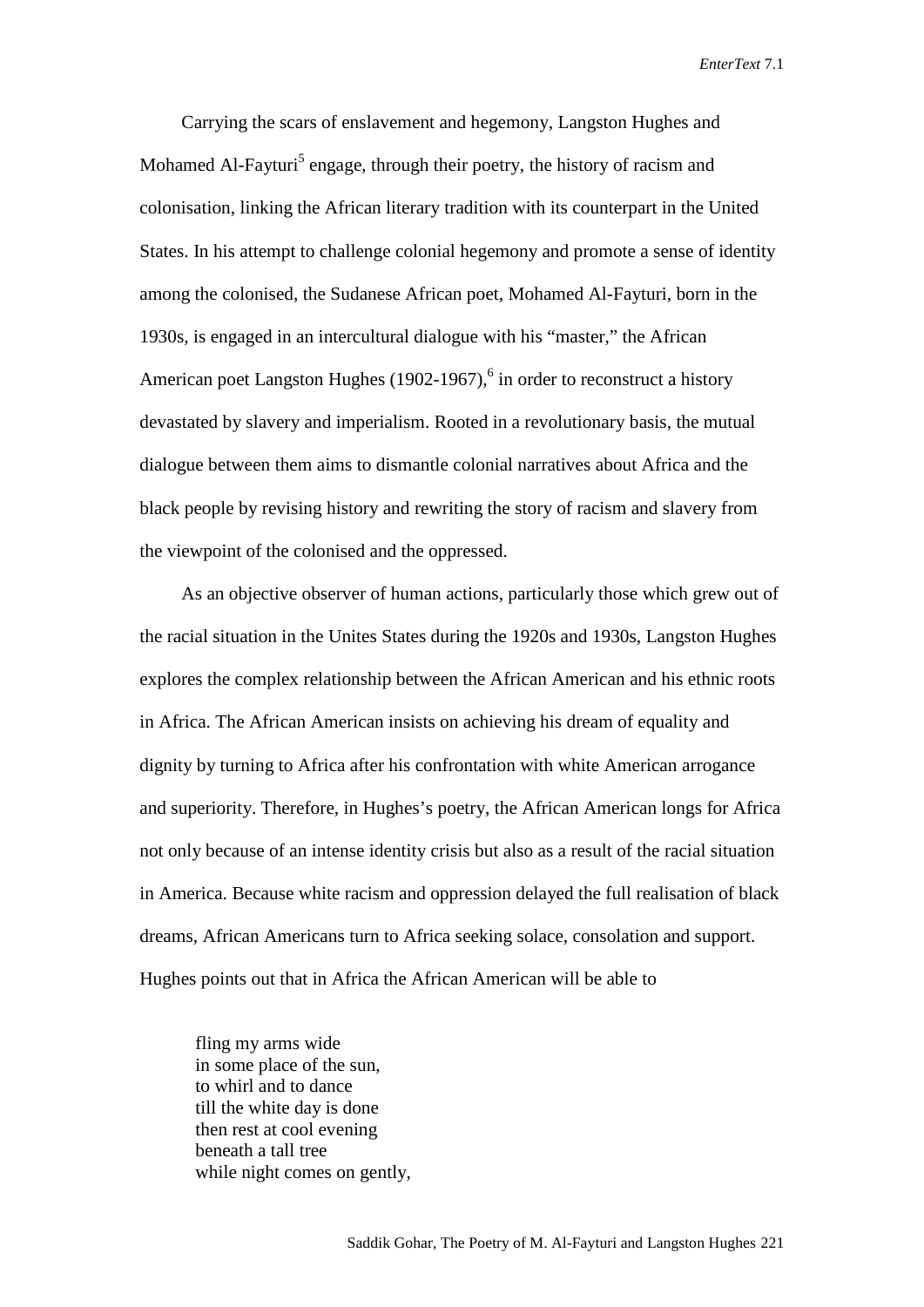Carrying the scars of enslavement and hegemony, Langston Hughes and Mohamed Al-Fayturi<sup>5</sup> engage, through their poetry, the history of racism and colonisation, linking the African literary tradition with its counterpart in the United States. In his attempt to challenge colonial hegemony and promote a sense of identity among the colonised, the Sudanese African poet, Mohamed Al-Fayturi, born in the 1930s, is engaged in an intercultural dialogue with his "master," the African American poet Langston Hughes (1902-1967),<sup>6</sup> in order to reconstruct a history devastated by slavery and imperialism. Rooted in a revolutionary basis, the mutual dialogue between them aims to dismantle colonial narratives about Africa and the black people by revising history and rewriting the story of racism and slavery from the viewpoint of the colonised and the oppressed.

As an objective observer of human actions, particularly those which grew out of the racial situation in the Unites States during the 1920s and 1930s, Langston Hughes explores the complex relationship between the African American and his ethnic roots in Africa. The African American insists on achieving his dream of equality and dignity by turning to Africa after his confrontation with white American arrogance and superiority. Therefore, in Hughes's poetry, the African American longs for Africa not only because of an intense identity crisis but also as a result of the racial situation in America. Because white racism and oppression delayed the full realisation of black dreams, African Americans turn to Africa seeking solace, consolation and support. Hughes points out that in Africa the African American will be able to

fling my arms wide in some place of the sun, to whirl and to dance till the white day is done then rest at cool evening beneath a tall tree while night comes on gently.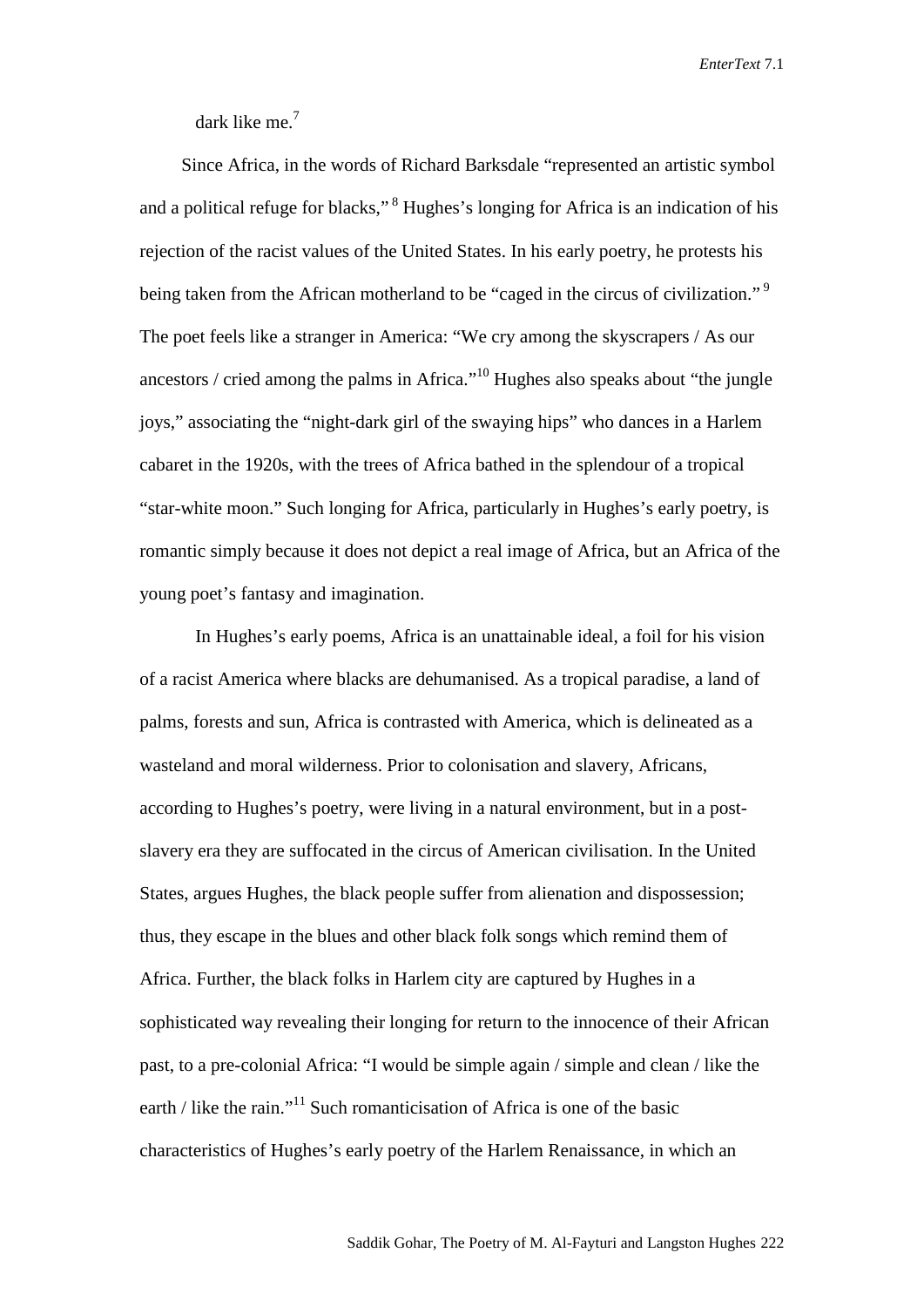dark like me.<sup>7</sup>

Since Africa, in the words of Richard Barksdale "represented an artistic symbol and a political refuge for blacks,"<sup>8</sup> Hughes's longing for Africa is an indication of his rejection of the racist values of the United States. In his early poetry, he protests his being taken from the African motherland to be "caged in the circus of civilization."<sup>9</sup> The poet feels like a stranger in America: "We cry among the skyscrapers / As our ancestors / cried among the palms in Africa."10 Hughes also speaks about "the jungle joys," associating the "night-dark girl of the swaying hips" who dances in a Harlem cabaret in the 1920s, with the trees of Africa bathed in the splendour of a tropical "star-white moon." Such longing for Africa, particularly in Hughes's early poetry, is romantic simply because it does not depict a real image of Africa, but an Africa of the young poet's fantasy and imagination.

In Hughes's early poems, Africa is an unattainable ideal, a foil for his vision of a racist America where blacks are dehumanised. As a tropical paradise, a land of palms, forests and sun, Africa is contrasted with America, which is delineated as a wasteland and moral wilderness. Prior to colonisation and slavery, Africans, according to Hughes's poetry, were living in a natural environment, but in a postslavery era they are suffocated in the circus of American civilisation. In the United States, argues Hughes, the black people suffer from alienation and dispossession; thus, they escape in the blues and other black folk songs which remind them of Africa. Further, the black folks in Harlem city are captured by Hughes in a sophisticated way revealing their longing for return to the innocence of their African past, to a pre-colonial Africa: "I would be simple again / simple and clean / like the earth / like the rain."<sup>11</sup> Such romanticisation of Africa is one of the basic characteristics of Hughes's early poetry of the Harlem Renaissance, in which an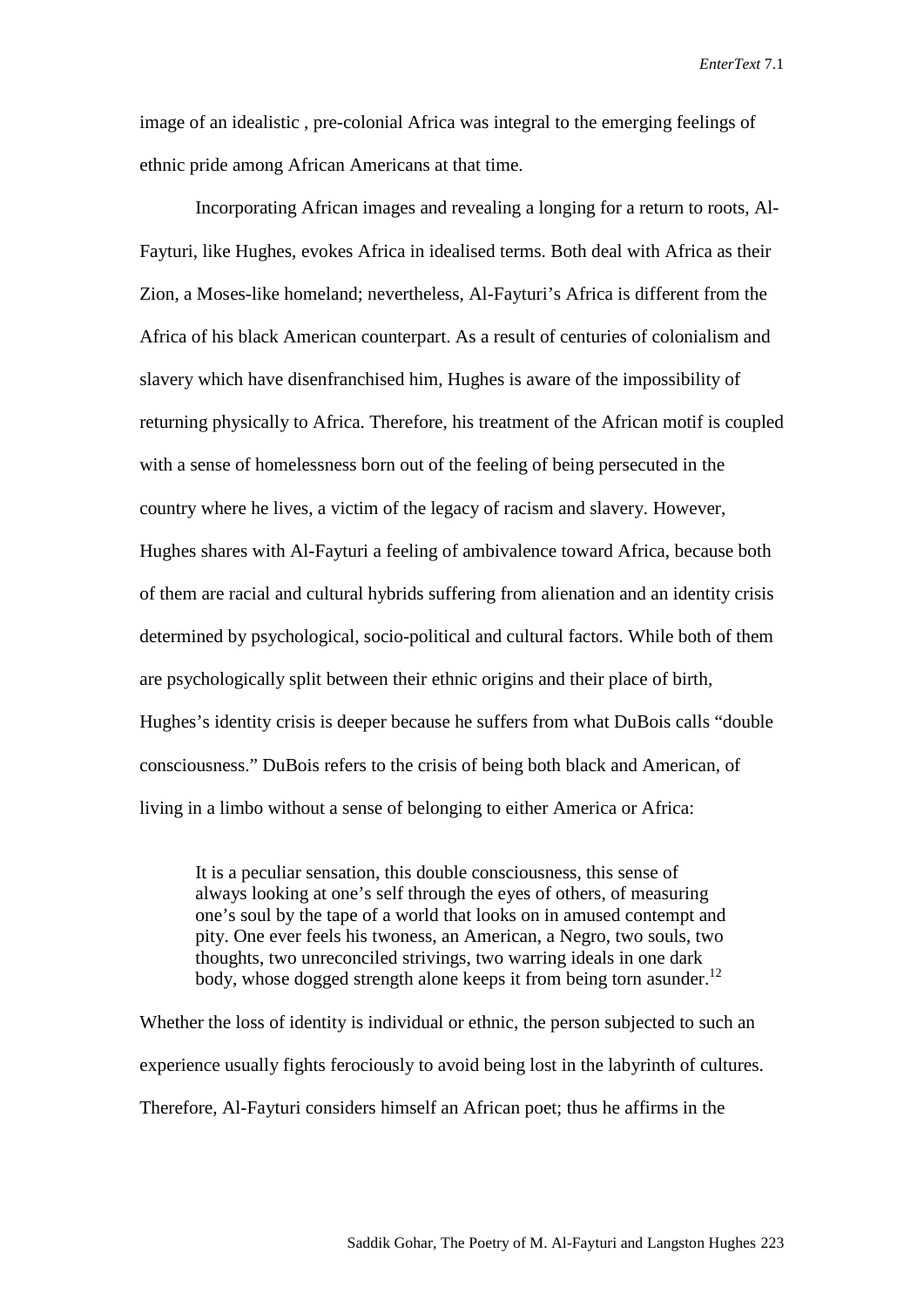image of an idealistic , pre-colonial Africa was integral to the emerging feelings of ethnic pride among African Americans at that time.

Incorporating African images and revealing a longing for a return to roots, Al-Fayturi, like Hughes, evokes Africa in idealised terms. Both deal with Africa as their Zion, a Moses-like homeland; nevertheless, Al-Fayturi's Africa is different from the Africa of his black American counterpart. As a result of centuries of colonialism and slavery which have disenfranchised him, Hughes is aware of the impossibility of returning physically to Africa. Therefore, his treatment of the African motif is coupled with a sense of homelessness born out of the feeling of being persecuted in the country where he lives, a victim of the legacy of racism and slavery. However, Hughes shares with Al-Fayturi a feeling of ambivalence toward Africa, because both of them are racial and cultural hybrids suffering from alienation and an identity crisis determined by psychological, socio-political and cultural factors. While both of them are psychologically split between their ethnic origins and their place of birth, Hughes's identity crisis is deeper because he suffers from what DuBois calls "double consciousness." DuBois refers to the crisis of being both black and American, of living in a limbo without a sense of belonging to either America or Africa:

It is a peculiar sensation, this double consciousness, this sense of always looking at one's self through the eyes of others, of measuring one's soul by the tape of a world that looks on in amused contempt and pity. One ever feels his twoness, an American, a Negro, two souls, two thoughts, two unreconciled strivings, two warring ideals in one dark body, whose dogged strength alone keeps it from being torn asunder.<sup>12</sup>

Whether the loss of identity is individual or ethnic, the person subjected to such an experience usually fights ferociously to avoid being lost in the labyrinth of cultures. Therefore, Al-Fayturi considers himself an African poet; thus he affirms in the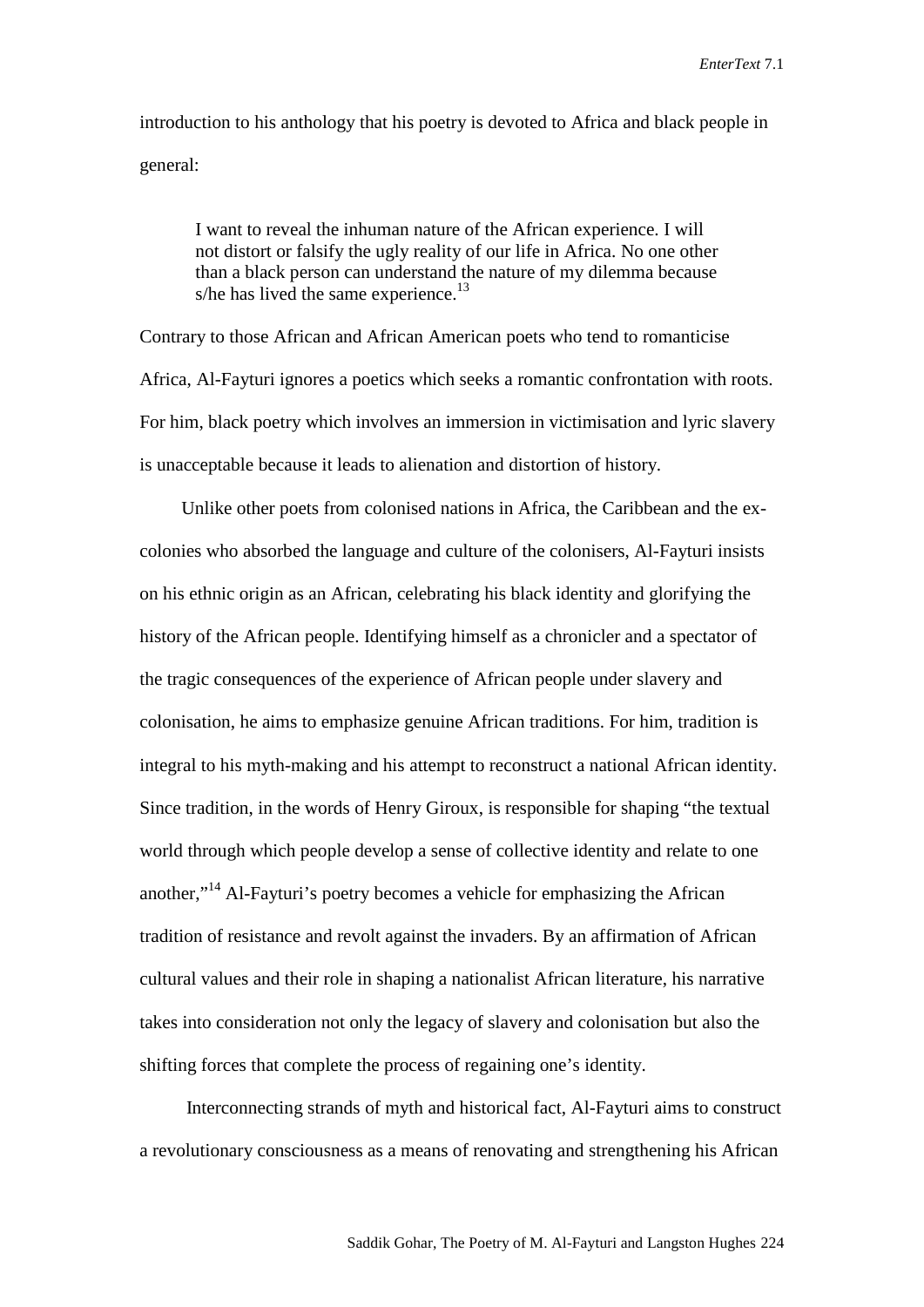introduction to his anthology that his poetry is devoted to Africa and black people in general:

I want to reveal the inhuman nature of the African experience. I will not distort or falsify the ugly reality of our life in Africa. No one other than a black person can understand the nature of my dilemma because s/he has lived the same experience.<sup>13</sup>

Contrary to those African and African American poets who tend to romanticise Africa, Al-Fayturi ignores a poetics which seeks a romantic confrontation with roots. For him, black poetry which involves an immersion in victimisation and lyric slavery is unacceptable because it leads to alienation and distortion of history.

Unlike other poets from colonised nations in Africa, the Caribbean and the excolonies who absorbed the language and culture of the colonisers, Al-Fayturi insists on his ethnic origin as an African, celebrating his black identity and glorifying the history of the African people. Identifying himself as a chronicler and a spectator of the tragic consequences of the experience of African people under slavery and colonisation, he aims to emphasize genuine African traditions. For him, tradition is integral to his myth-making and his attempt to reconstruct a national African identity. Since tradition, in the words of Henry Giroux, is responsible for shaping "the textual world through which people develop a sense of collective identity and relate to one another,"<sup>14</sup> Al-Fayturi's poetry becomes a vehicle for emphasizing the African tradition of resistance and revolt against the invaders. By an affirmation of African cultural values and their role in shaping a nationalist African literature, his narrative takes into consideration not only the legacy of slavery and colonisation but also the shifting forces that complete the process of regaining one's identity.

Interconnecting strands of myth and historical fact, Al-Fayturi aims to construct a revolutionary consciousness as a means of renovating and strengthening his African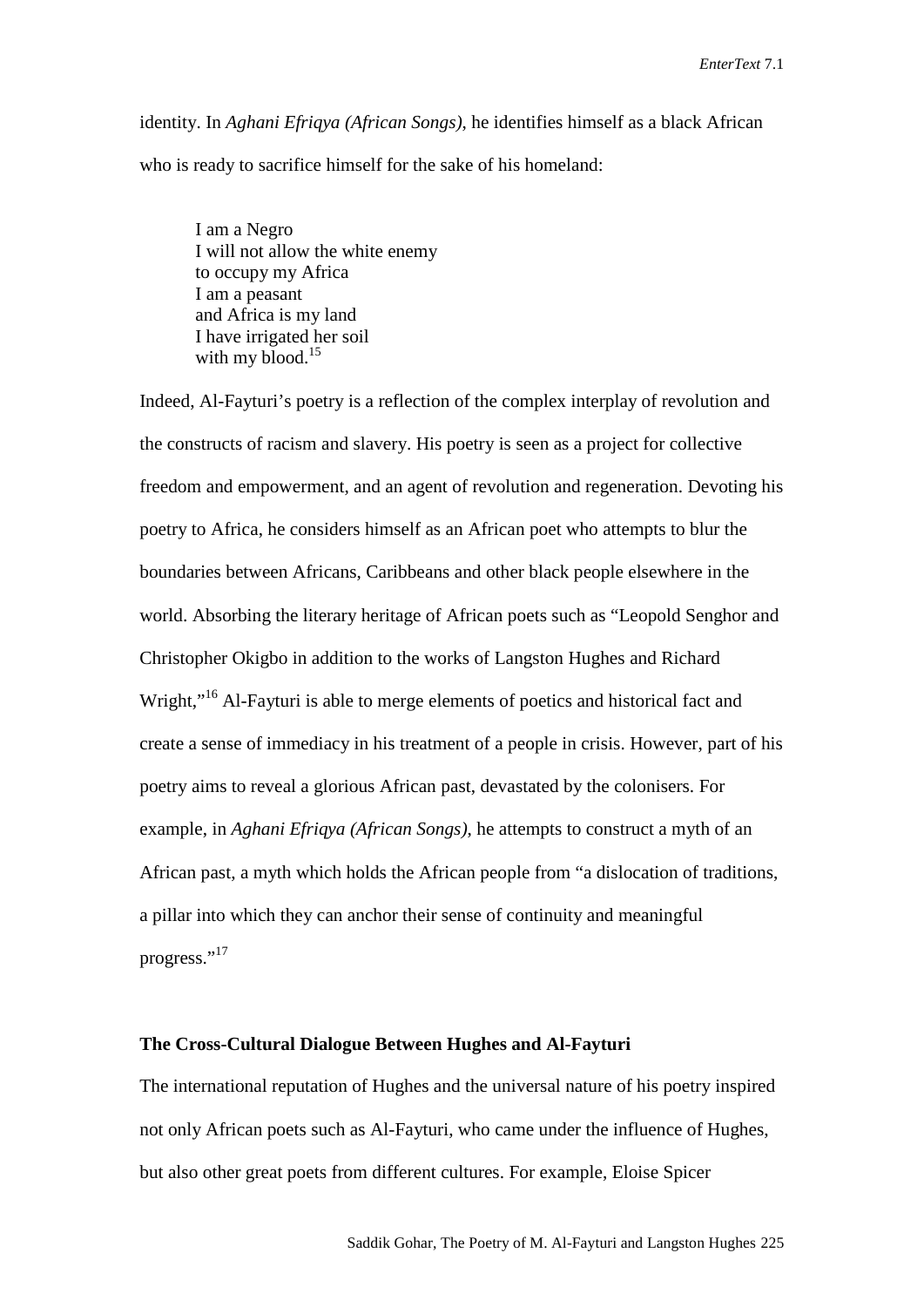identity. In *Aghani Efriqya (African Songs)*, he identifies himself as a black African who is ready to sacrifice himself for the sake of his homeland:

I am a Negro I will not allow the white enemy to occupy my Africa I am a peasant and Africa is my land I have irrigated her soil with my blood.<sup>15</sup>

Indeed, Al-Fayturi's poetry is a reflection of the complex interplay of revolution and the constructs of racism and slavery. His poetry is seen as a project for collective freedom and empowerment, and an agent of revolution and regeneration. Devoting his poetry to Africa, he considers himself as an African poet who attempts to blur the boundaries between Africans, Caribbeans and other black people elsewhere in the world. Absorbing the literary heritage of African poets such as "Leopold Senghor and Christopher Okigbo in addition to the works of Langston Hughes and Richard Wright,"<sup>16</sup> Al-Fayturi is able to merge elements of poetics and historical fact and create a sense of immediacy in his treatment of a people in crisis. However, part of his poetry aims to reveal a glorious African past, devastated by the colonisers. For example, in *Aghani Efriqya (African Songs)*, he attempts to construct a myth of an African past, a myth which holds the African people from "a dislocation of traditions, a pillar into which they can anchor their sense of continuity and meaningful progress."<sup>17</sup>

### **The Cross-Cultural Dialogue Between Hughes and Al-Fayturi**

The international reputation of Hughes and the universal nature of his poetry inspired not only African poets such as Al-Fayturi, who came under the influence of Hughes, but also other great poets from different cultures. For example, Eloise Spicer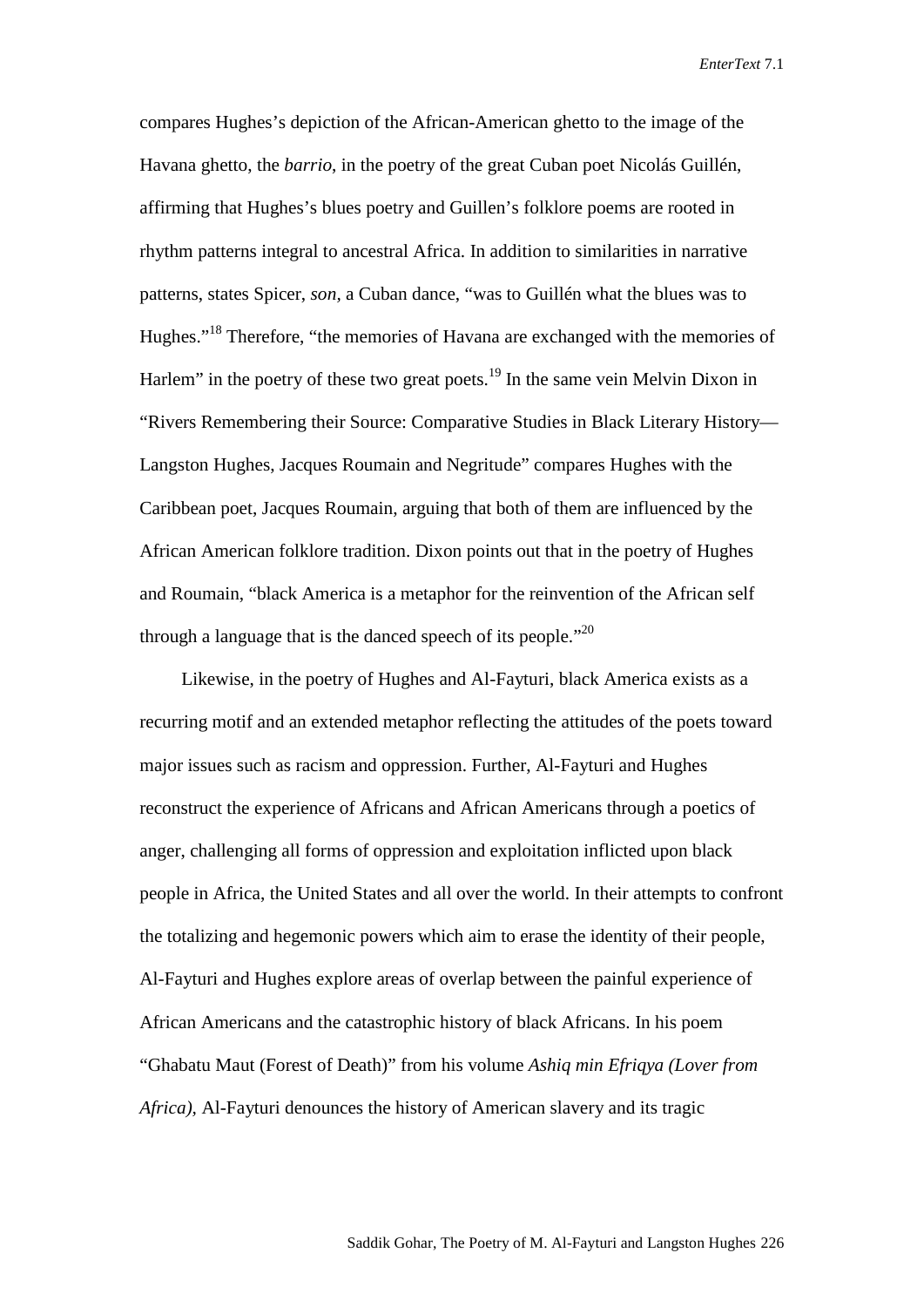compares Hughes's depiction of the African-American ghetto to the image of the Havana ghetto, the *barrio*, in the poetry of the great Cuban poet Nicolás Guillén, affirming that Hughes's blues poetry and Guillen's folklore poems are rooted in rhythm patterns integral to ancestral Africa. In addition to similarities in narrative patterns, states Spicer, *son,* a Cuban dance, "was to Guillén what the blues was to Hughes."18 Therefore, "the memories of Havana are exchanged with the memories of Harlem" in the poetry of these two great poets.<sup>19</sup> In the same vein Melvin Dixon in "Rivers Remembering their Source: Comparative Studies in Black Literary History— Langston Hughes, Jacques Roumain and Negritude" compares Hughes with the Caribbean poet, Jacques Roumain, arguing that both of them are influenced by the African American folklore tradition. Dixon points out that in the poetry of Hughes and Roumain, "black America is a metaphor for the reinvention of the African self through a language that is the danced speech of its people. $120$ 

Likewise, in the poetry of Hughes and Al-Fayturi, black America exists as a recurring motif and an extended metaphor reflecting the attitudes of the poets toward major issues such as racism and oppression. Further, Al-Fayturi and Hughes reconstruct the experience of Africans and African Americans through a poetics of anger, challenging all forms of oppression and exploitation inflicted upon black people in Africa, the United States and all over the world. In their attempts to confront the totalizing and hegemonic powers which aim to erase the identity of their people, Al-Fayturi and Hughes explore areas of overlap between the painful experience of African Americans and the catastrophic history of black Africans. In his poem "Ghabatu Maut (Forest of Death)" from his volume *Ashiq min Efriqya (Lover from Africa),* Al-Fayturi denounces the history of American slavery and its tragic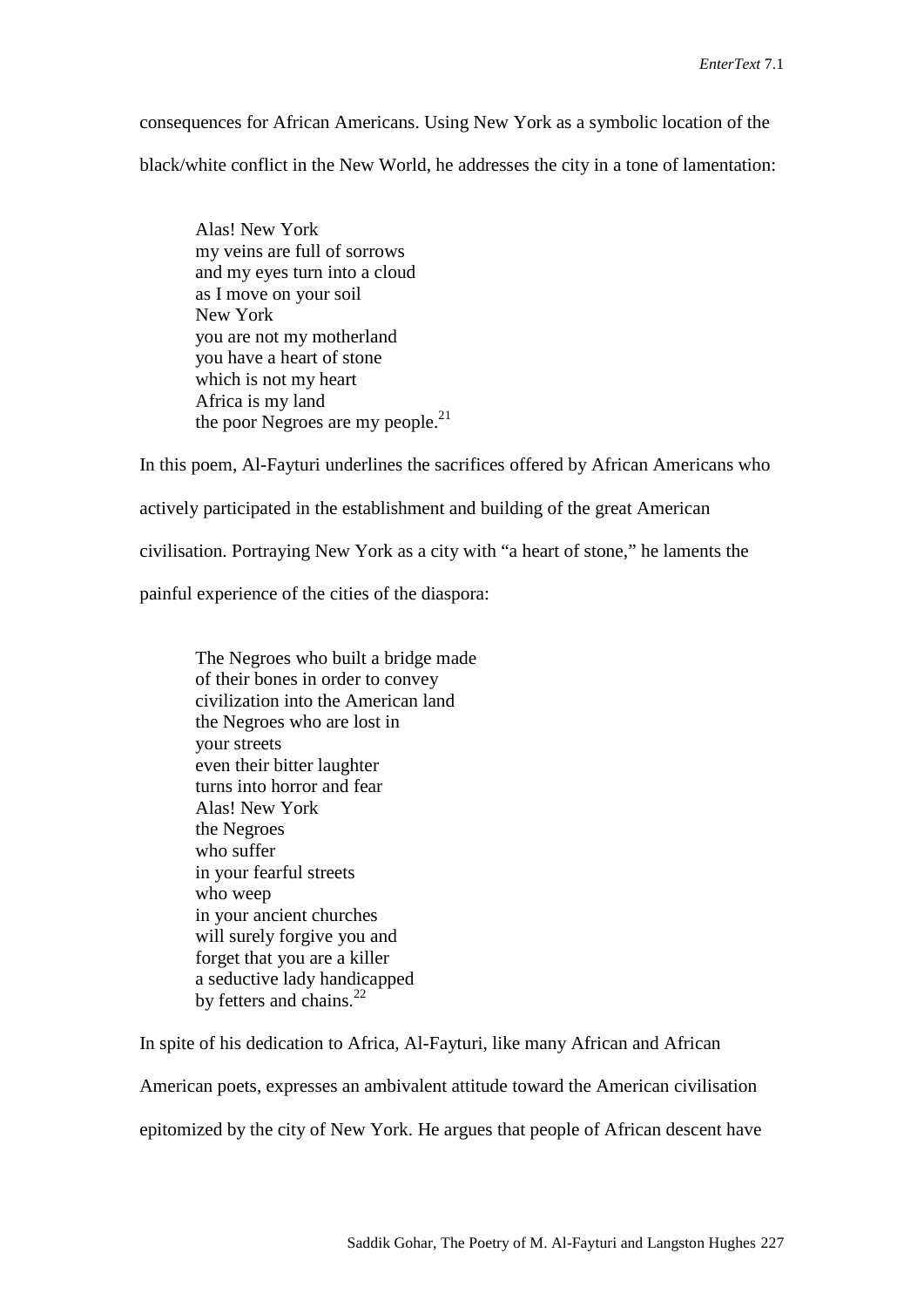consequences for African Americans. Using New York as a symbolic location of the black/white conflict in the New World, he addresses the city in a tone of lamentation:

Alas! New York my veins are full of sorrows and my eyes turn into a cloud as I move on your soil New York you are not my motherland you have a heart of stone which is not my heart Africa is my land the poor Negroes are my people.<sup>21</sup>

In this poem, Al-Fayturi underlines the sacrifices offered by African Americans who

actively participated in the establishment and building of the great American

civilisation. Portraying New York as a city with "a heart of stone," he laments the

painful experience of the cities of the diaspora:

The Negroes who built a bridge made of their bones in order to convey civilization into the American land the Negroes who are lost in your streets even their bitter laughter turns into horror and fear Alas! New York the Negroes who suffer in your fearful streets who weep in your ancient churches will surely forgive you and forget that you are a killer a seductive lady handicapped by fetters and chains.<sup>22</sup>

In spite of his dedication to Africa, Al-Fayturi, like many African and African

American poets, expresses an ambivalent attitude toward the American civilisation

epitomized by the city of New York. He argues that people of African descent have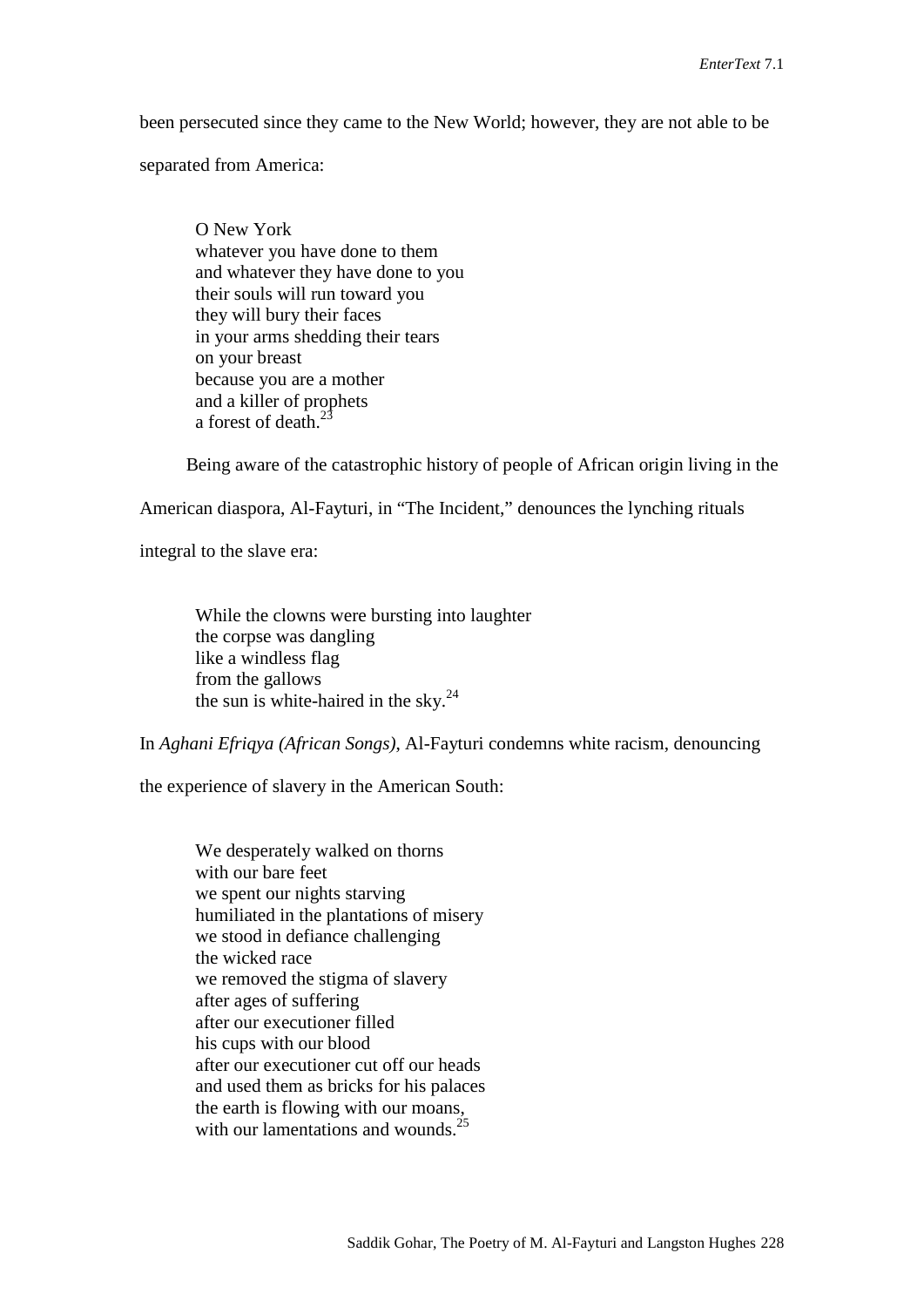been persecuted since they came to the New World; however, they are not able to be

separated from America:

O New York whatever you have done to them and whatever they have done to you their souls will run toward you they will bury their faces in your arms shedding their tears on your breast because you are a mother and a killer of prophets a forest of death.<sup>23</sup>

Being aware of the catastrophic history of people of African origin living in the

American diaspora, Al-Fayturi, in "The Incident," denounces the lynching rituals

integral to the slave era:

While the clowns were bursting into laughter the corpse was dangling like a windless flag from the gallows the sun is white-haired in the sky. $^{24}$ 

In *Aghani Efriqya (African Songs)*, Al-Fayturi condemns white racism, denouncing

the experience of slavery in the American South:

We desperately walked on thorns with our bare feet we spent our nights starving humiliated in the plantations of misery we stood in defiance challenging the wicked race we removed the stigma of slavery after ages of suffering after our executioner filled his cups with our blood after our executioner cut off our heads and used them as bricks for his palaces the earth is flowing with our moans, with our lamentations and wounds.<sup>25</sup>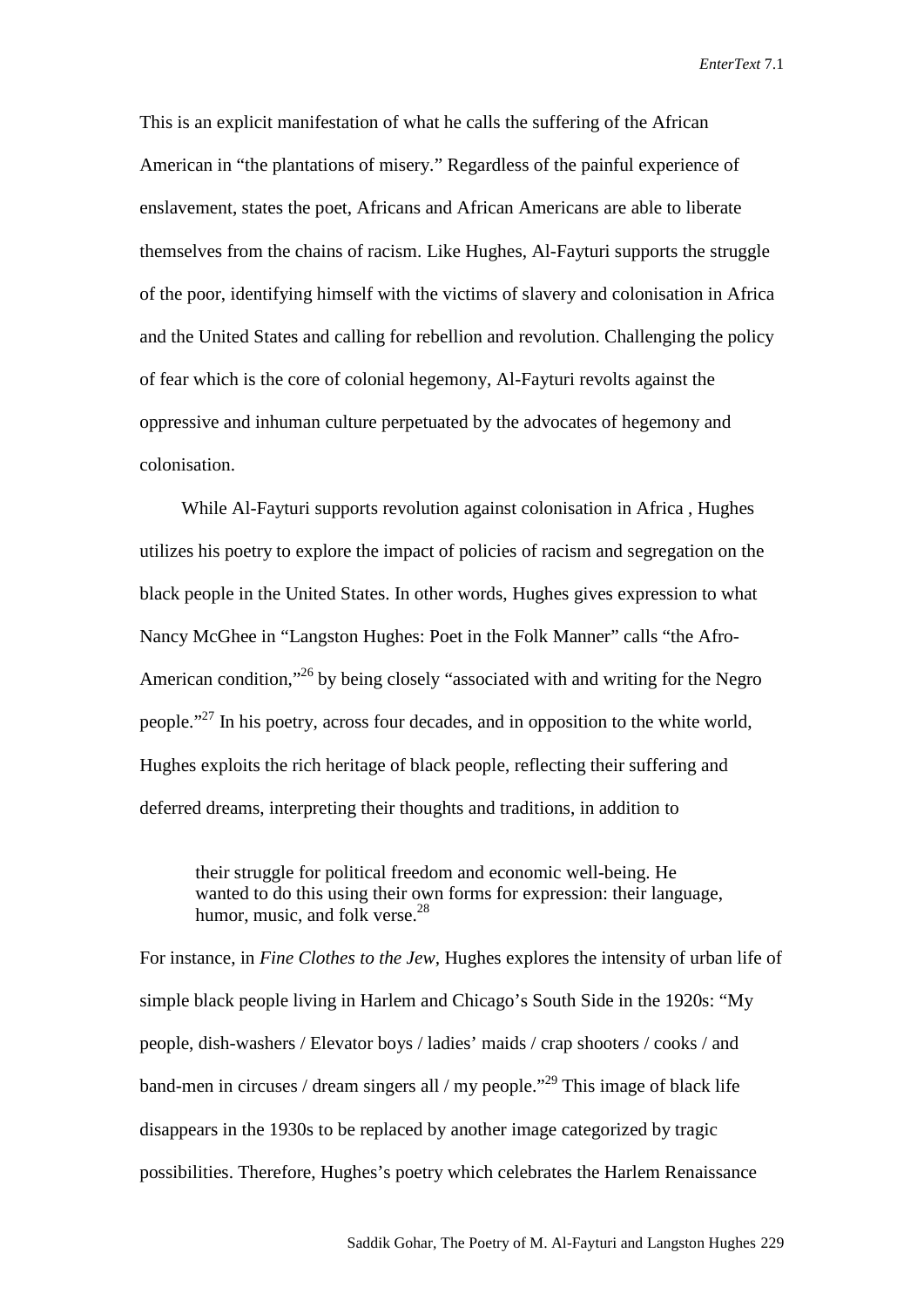This is an explicit manifestation of what he calls the suffering of the African American in "the plantations of misery." Regardless of the painful experience of enslavement, states the poet, Africans and African Americans are able to liberate themselves from the chains of racism. Like Hughes, Al-Fayturi supports the struggle of the poor, identifying himself with the victims of slavery and colonisation in Africa and the United States and calling for rebellion and revolution. Challenging the policy of fear which is the core of colonial hegemony, Al-Fayturi revolts against the oppressive and inhuman culture perpetuated by the advocates of hegemony and colonisation.

While Al-Fayturi supports revolution against colonisation in Africa , Hughes utilizes his poetry to explore the impact of policies of racism and segregation on the black people in the United States. In other words, Hughes gives expression to what Nancy McGhee in "Langston Hughes: Poet in the Folk Manner" calls "the Afro-American condition,<sup>326</sup> by being closely "associated with and writing for the Negro people."27 In his poetry, across four decades, and in opposition to the white world, Hughes exploits the rich heritage of black people, reflecting their suffering and deferred dreams, interpreting their thoughts and traditions, in addition to

their struggle for political freedom and economic well-being. He wanted to do this using their own forms for expression: their language, humor, music, and folk verse.<sup>28</sup>

For instance, in *Fine Clothes to the Jew,* Hughes explores the intensity of urban life of simple black people living in Harlem and Chicago's South Side in the 1920s: "My people, dish-washers / Elevator boys / ladies' maids / crap shooters / cooks / and band-men in circuses / dream singers all / my people."<sup>29</sup> This image of black life disappears in the 1930s to be replaced by another image categorized by tragic possibilities. Therefore, Hughes's poetry which celebrates the Harlem Renaissance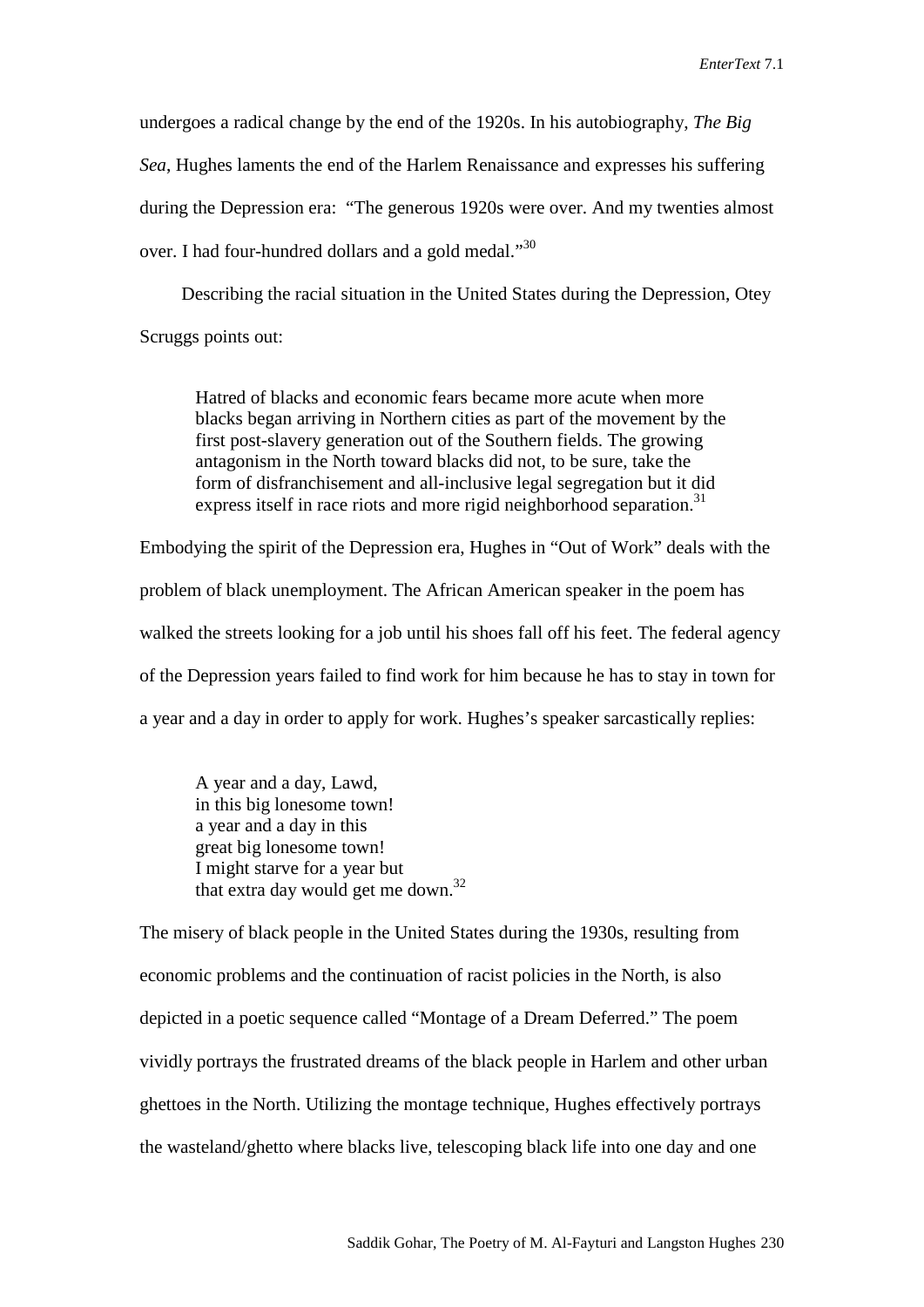undergoes a radical change by the end of the 1920s. In his autobiography, *The Big Sea*, Hughes laments the end of the Harlem Renaissance and expresses his suffering during the Depression era: "The generous 1920s were over. And my twenties almost over. I had four-hundred dollars and a gold medal."<sup>30</sup>

Describing the racial situation in the United States during the Depression, Otey Scruggs points out:

Hatred of blacks and economic fears became more acute when more blacks began arriving in Northern cities as part of the movement by the first post-slavery generation out of the Southern fields. The growing antagonism in the North toward blacks did not, to be sure, take the form of disfranchisement and all-inclusive legal segregation but it did express itself in race riots and more rigid neighborhood separation.<sup>31</sup>

Embodying the spirit of the Depression era, Hughes in "Out of Work" deals with the problem of black unemployment. The African American speaker in the poem has walked the streets looking for a job until his shoes fall off his feet. The federal agency of the Depression years failed to find work for him because he has to stay in town for a year and a day in order to apply for work. Hughes's speaker sarcastically replies:

A year and a day, Lawd, in this big lonesome town! a year and a day in this great big lonesome town! I might starve for a year but that extra day would get me down.<sup>32</sup>

The misery of black people in the United States during the 1930s, resulting from economic problems and the continuation of racist policies in the North, is also depicted in a poetic sequence called "Montage of a Dream Deferred." The poem vividly portrays the frustrated dreams of the black people in Harlem and other urban ghettoes in the North. Utilizing the montage technique, Hughes effectively portrays the wasteland/ghetto where blacks live, telescoping black life into one day and one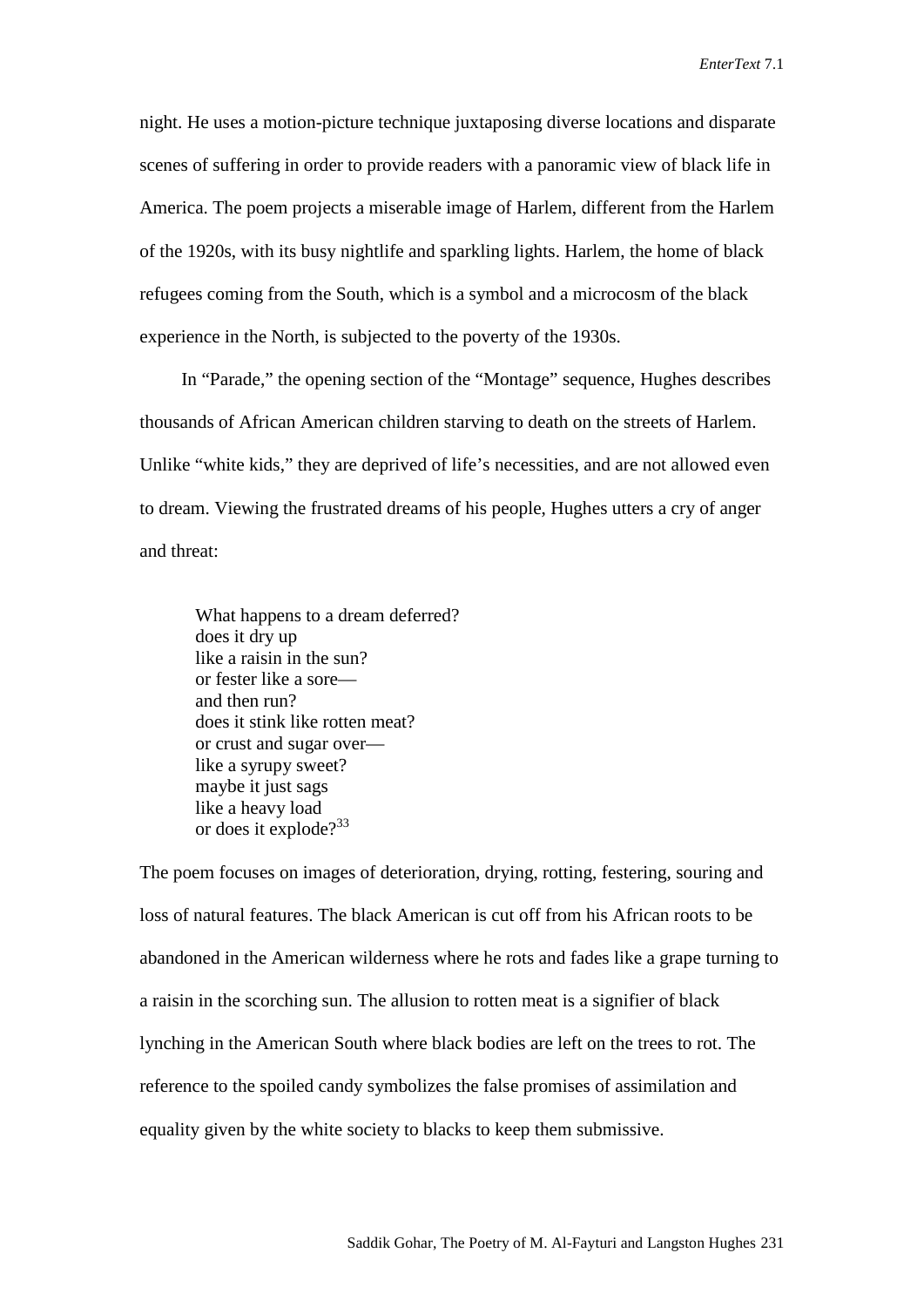night. He uses a motion-picture technique juxtaposing diverse locations and disparate scenes of suffering in order to provide readers with a panoramic view of black life in America. The poem projects a miserable image of Harlem, different from the Harlem of the 1920s, with its busy nightlife and sparkling lights. Harlem, the home of black refugees coming from the South, which is a symbol and a microcosm of the black experience in the North, is subjected to the poverty of the 1930s.

In "Parade," the opening section of the "Montage" sequence, Hughes describes thousands of African American children starving to death on the streets of Harlem. Unlike "white kids," they are deprived of life's necessities, and are not allowed even to dream. Viewing the frustrated dreams of his people, Hughes utters a cry of anger and threat:

What happens to a dream deferred? does it dry up like a raisin in the sun? or fester like a sore and then run? does it stink like rotten meat? or crust and sugar over like a syrupy sweet? maybe it just sags like a heavy load or does it explode?<sup>33</sup>

The poem focuses on images of deterioration, drying, rotting, festering, souring and loss of natural features. The black American is cut off from his African roots to be abandoned in the American wilderness where he rots and fades like a grape turning to a raisin in the scorching sun. The allusion to rotten meat is a signifier of black lynching in the American South where black bodies are left on the trees to rot. The reference to the spoiled candy symbolizes the false promises of assimilation and equality given by the white society to blacks to keep them submissive.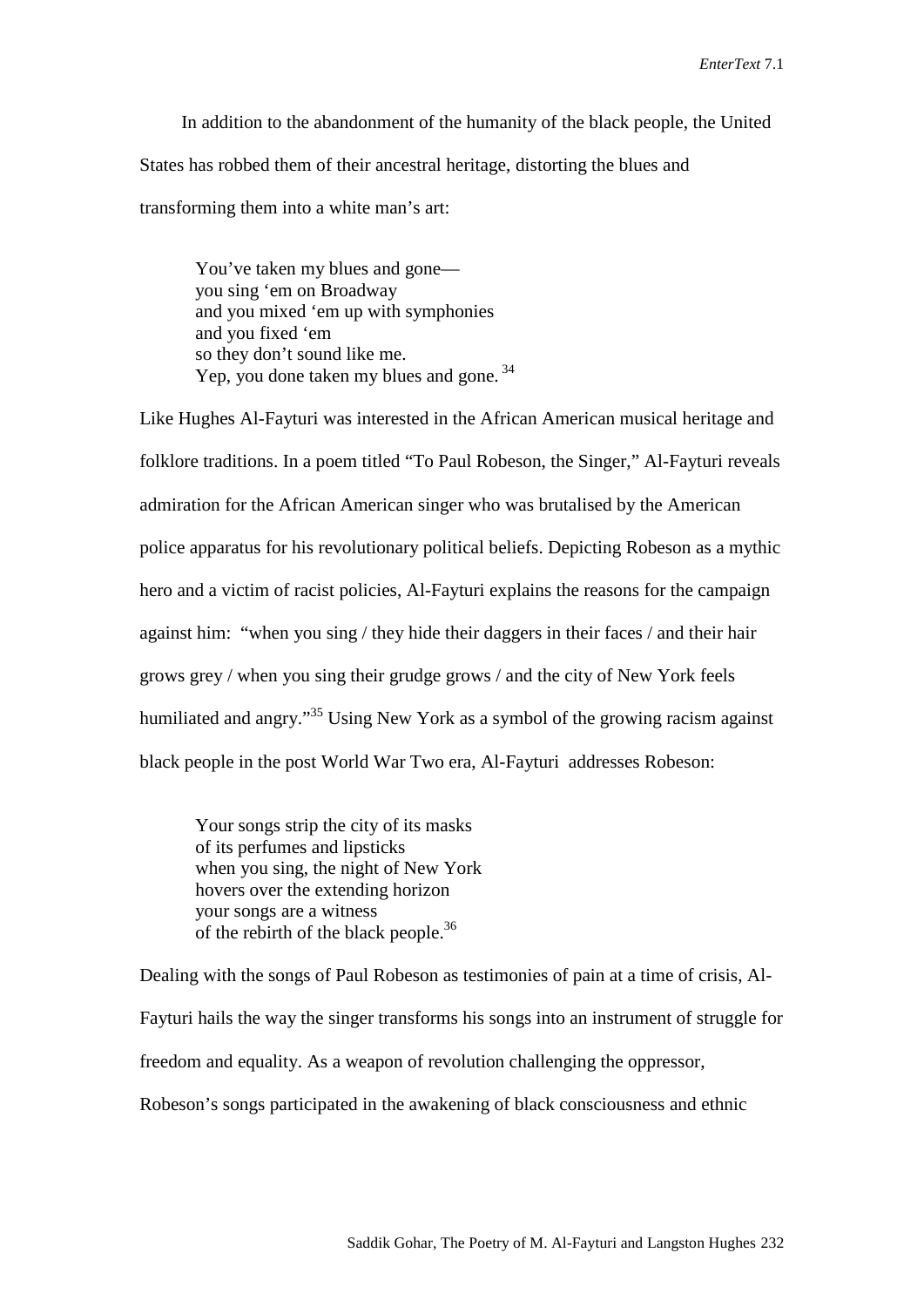In addition to the abandonment of the humanity of the black people, the United States has robbed them of their ancestral heritage, distorting the blues and transforming them into a white man's art:

You've taken my blues and gone you sing 'em on Broadway and you mixed 'em up with symphonies and you fixed 'em so they don't sound like me. Yep, you done taken my blues and gone.<sup>34</sup>

Like Hughes Al-Fayturi was interested in the African American musical heritage and folklore traditions. In a poem titled "To Paul Robeson, the Singer," Al-Fayturi reveals admiration for the African American singer who was brutalised by the American police apparatus for his revolutionary political beliefs. Depicting Robeson as a mythic hero and a victim of racist policies, Al-Fayturi explains the reasons for the campaign against him: "when you sing / they hide their daggers in their faces / and their hair grows grey / when you sing their grudge grows / and the city of New York feels humiliated and angry."<sup>35</sup> Using New York as a symbol of the growing racism against black people in the post World War Two era, Al-Fayturi addresses Robeson:

Your songs strip the city of its masks of its perfumes and lipsticks when you sing, the night of New York hovers over the extending horizon your songs are a witness of the rebirth of the black people.<sup>36</sup>

Dealing with the songs of Paul Robeson as testimonies of pain at a time of crisis, Al-Fayturi hails the way the singer transforms his songs into an instrument of struggle for freedom and equality. As a weapon of revolution challenging the oppressor, Robeson's songs participated in the awakening of black consciousness and ethnic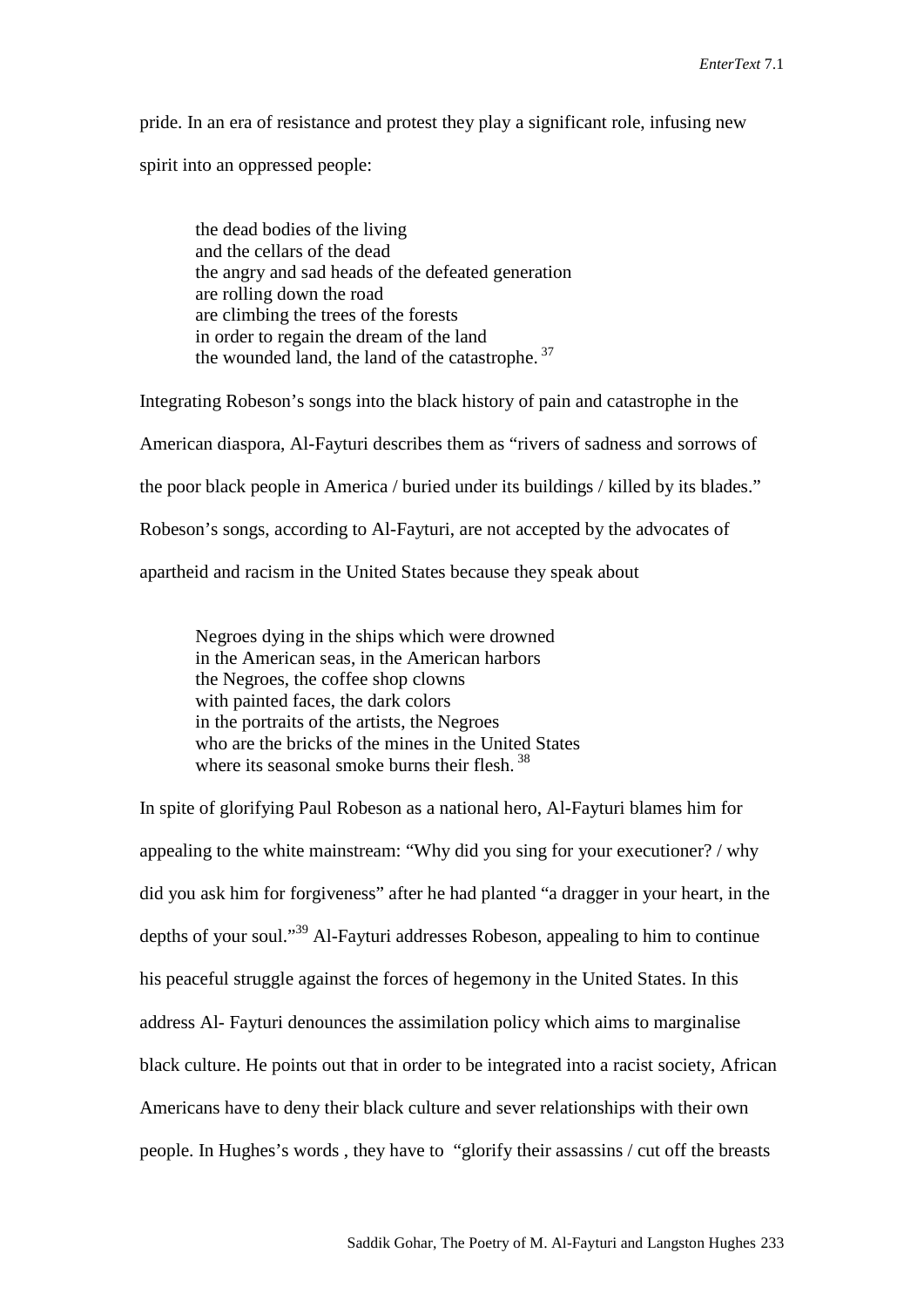pride. In an era of resistance and protest they play a significant role, infusing new

spirit into an oppressed people:

the dead bodies of the living and the cellars of the dead the angry and sad heads of the defeated generation are rolling down the road are climbing the trees of the forests in order to regain the dream of the land the wounded land, the land of the catastrophe.<sup>37</sup>

Integrating Robeson's songs into the black history of pain and catastrophe in the American diaspora, Al-Fayturi describes them as "rivers of sadness and sorrows of the poor black people in America / buried under its buildings / killed by its blades." Robeson's songs, according to Al-Fayturi, are not accepted by the advocates of apartheid and racism in the United States because they speak about

Negroes dying in the ships which were drowned in the American seas, in the American harbors the Negroes, the coffee shop clowns with painted faces, the dark colors in the portraits of the artists, the Negroes who are the bricks of the mines in the United States where its seasonal smoke burns their flesh.<sup>38</sup>

In spite of glorifying Paul Robeson as a national hero, Al-Fayturi blames him for appealing to the white mainstream: "Why did you sing for your executioner? / why did you ask him for forgiveness" after he had planted "a dragger in your heart, in the depths of your soul."39 Al-Fayturi addresses Robeson, appealing to him to continue his peaceful struggle against the forces of hegemony in the United States. In this address Al- Fayturi denounces the assimilation policy which aims to marginalise black culture. He points out that in order to be integrated into a racist society, African Americans have to deny their black culture and sever relationships with their own people. In Hughes's words , they have to "glorify their assassins / cut off the breasts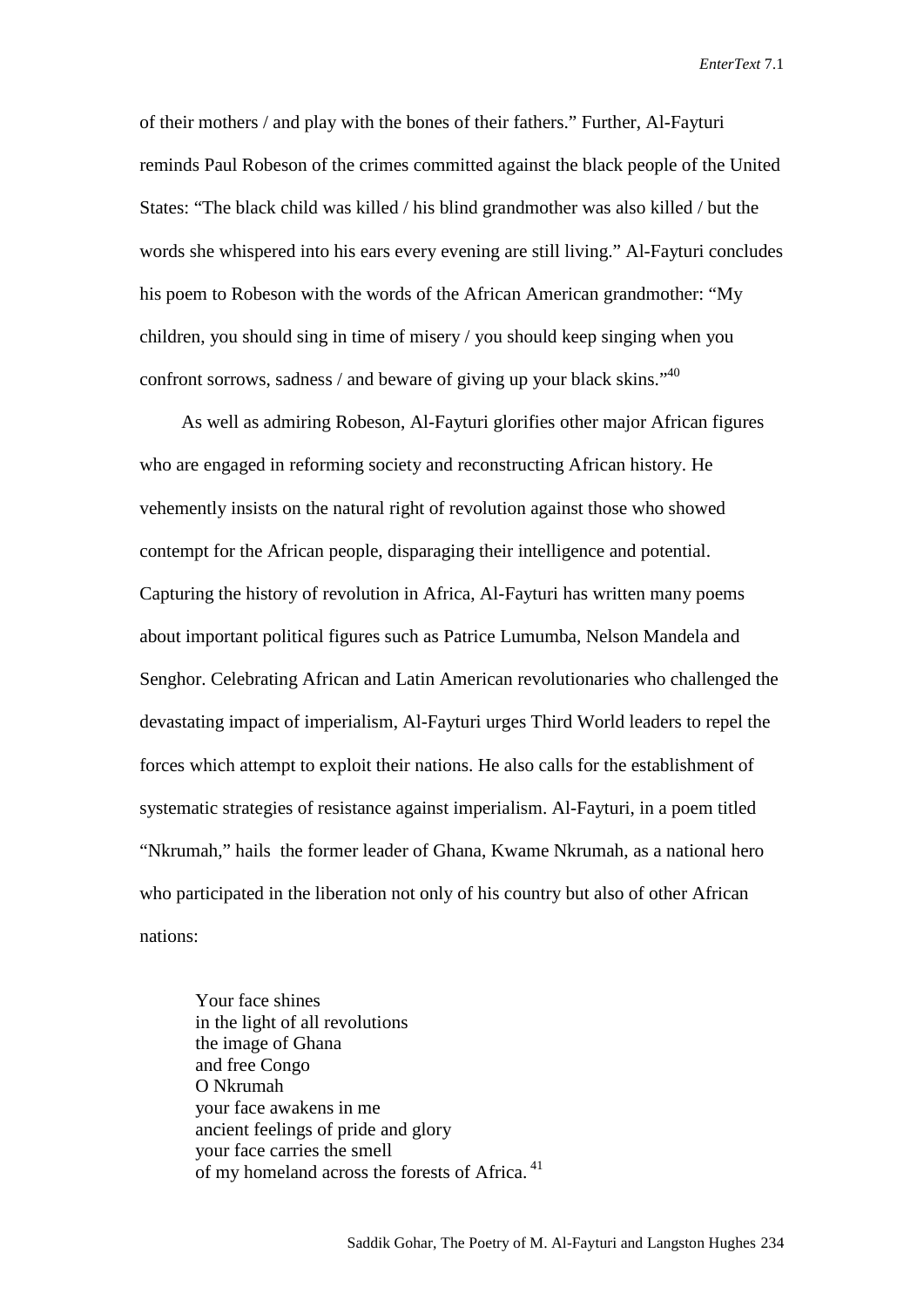of their mothers / and play with the bones of their fathers." Further, Al-Fayturi reminds Paul Robeson of the crimes committed against the black people of the United States: "The black child was killed / his blind grandmother was also killed / but the words she whispered into his ears every evening are still living." Al-Fayturi concludes his poem to Robeson with the words of the African American grandmother: "My children, you should sing in time of misery / you should keep singing when you confront sorrows, sadness / and beware of giving up your black skins." $40$ 

As well as admiring Robeson, Al-Fayturi glorifies other major African figures who are engaged in reforming society and reconstructing African history. He vehemently insists on the natural right of revolution against those who showed contempt for the African people, disparaging their intelligence and potential. Capturing the history of revolution in Africa, Al-Fayturi has written many poems about important political figures such as Patrice Lumumba, Nelson Mandela and Senghor. Celebrating African and Latin American revolutionaries who challenged the devastating impact of imperialism, Al-Fayturi urges Third World leaders to repel the forces which attempt to exploit their nations. He also calls for the establishment of systematic strategies of resistance against imperialism. Al-Fayturi, in a poem titled "Nkrumah," hails the former leader of Ghana, Kwame Nkrumah, as a national hero who participated in the liberation not only of his country but also of other African nations:

Your face shines in the light of all revolutions the image of Ghana and free Congo O Nkrumah your face awakens in me ancient feelings of pride and glory your face carries the smell of my homeland across the forests of Africa.<sup>41</sup>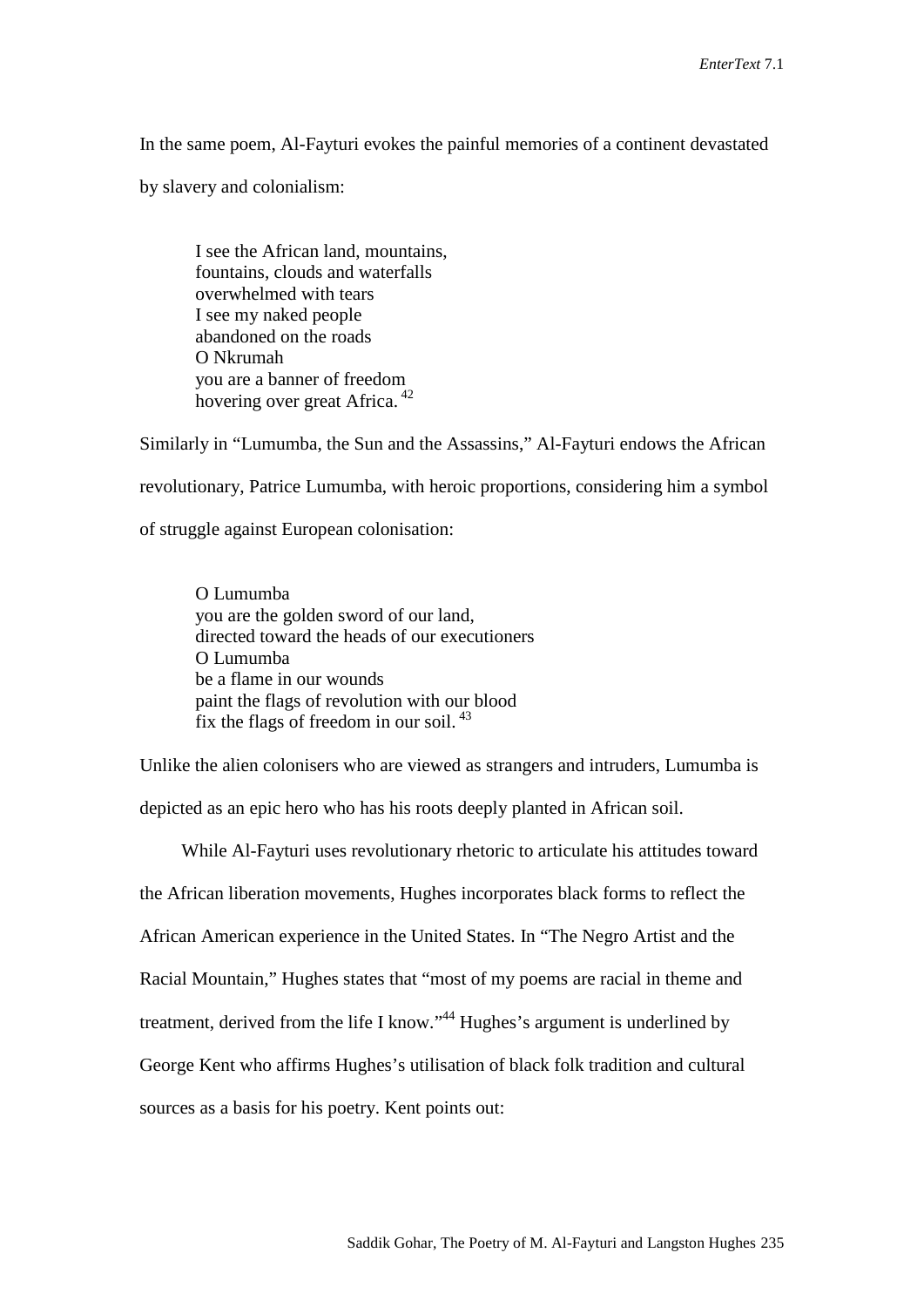In the same poem, Al-Fayturi evokes the painful memories of a continent devastated

by slavery and colonialism:

I see the African land, mountains, fountains, clouds and waterfalls overwhelmed with tears I see my naked people abandoned on the roads O Nkrumah you are a banner of freedom hovering over great Africa. 42

Similarly in "Lumumba, the Sun and the Assassins," Al-Fayturi endows the African revolutionary, Patrice Lumumba, with heroic proportions, considering him a symbol of struggle against European colonisation:

O Lumumba you are the golden sword of our land, directed toward the heads of our executioners O Lumumba be a flame in our wounds paint the flags of revolution with our blood fix the flags of freedom in our soil. <sup>43</sup>

Unlike the alien colonisers who are viewed as strangers and intruders, Lumumba is depicted as an epic hero who has his roots deeply planted in African soil.

While Al-Fayturi uses revolutionary rhetoric to articulate his attitudes toward the African liberation movements, Hughes incorporates black forms to reflect the African American experience in the United States. In "The Negro Artist and the Racial Mountain," Hughes states that "most of my poems are racial in theme and treatment, derived from the life I know."44 Hughes's argument is underlined by George Kent who affirms Hughes's utilisation of black folk tradition and cultural sources as a basis for his poetry. Kent points out: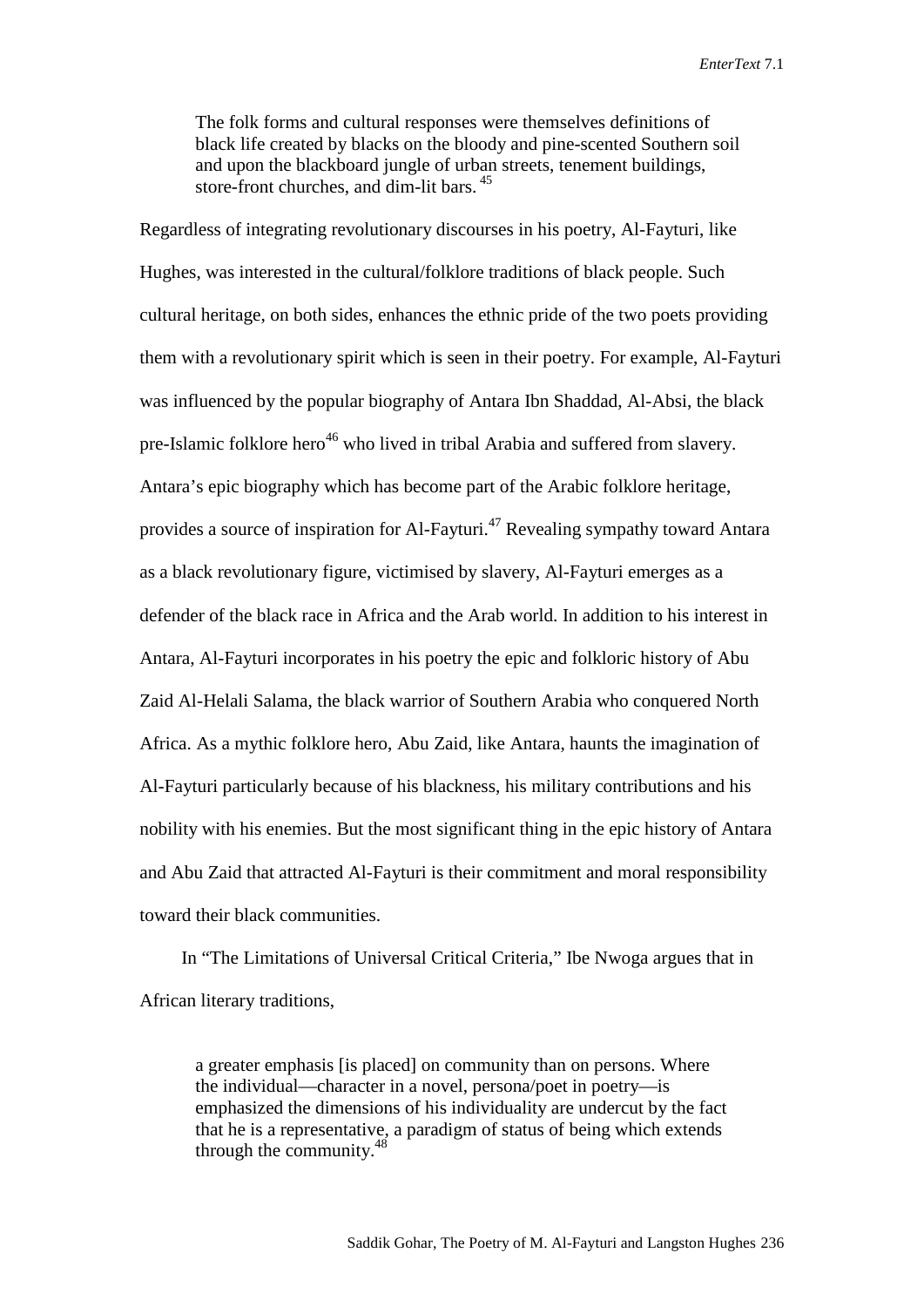The folk forms and cultural responses were themselves definitions of black life created by blacks on the bloody and pine-scented Southern soil and upon the blackboard jungle of urban streets, tenement buildings, store-front churches, and dim-lit bars. 45

Regardless of integrating revolutionary discourses in his poetry, Al-Fayturi, like Hughes, was interested in the cultural/folklore traditions of black people. Such cultural heritage, on both sides, enhances the ethnic pride of the two poets providing them with a revolutionary spirit which is seen in their poetry. For example, Al-Fayturi was influenced by the popular biography of Antara Ibn Shaddad, Al-Absi, the black pre-Islamic folklore hero<sup>46</sup> who lived in tribal Arabia and suffered from slavery. Antara's epic biography which has become part of the Arabic folklore heritage, provides a source of inspiration for Al-Fayturi.<sup>47</sup> Revealing sympathy toward Antara as a black revolutionary figure, victimised by slavery, Al-Fayturi emerges as a defender of the black race in Africa and the Arab world. In addition to his interest in Antara, Al-Fayturi incorporates in his poetry the epic and folkloric history of Abu Zaid Al-Helali Salama, the black warrior of Southern Arabia who conquered North Africa. As a mythic folklore hero, Abu Zaid, like Antara, haunts the imagination of Al-Fayturi particularly because of his blackness, his military contributions and his nobility with his enemies. But the most significant thing in the epic history of Antara and Abu Zaid that attracted Al-Fayturi is their commitment and moral responsibility toward their black communities.

In "The Limitations of Universal Critical Criteria," Ibe Nwoga argues that in African literary traditions,

a greater emphasis [is placed] on community than on persons. Where the individual—character in a novel, persona/poet in poetry—is emphasized the dimensions of his individuality are undercut by the fact that he is a representative, a paradigm of status of being which extends through the community. 48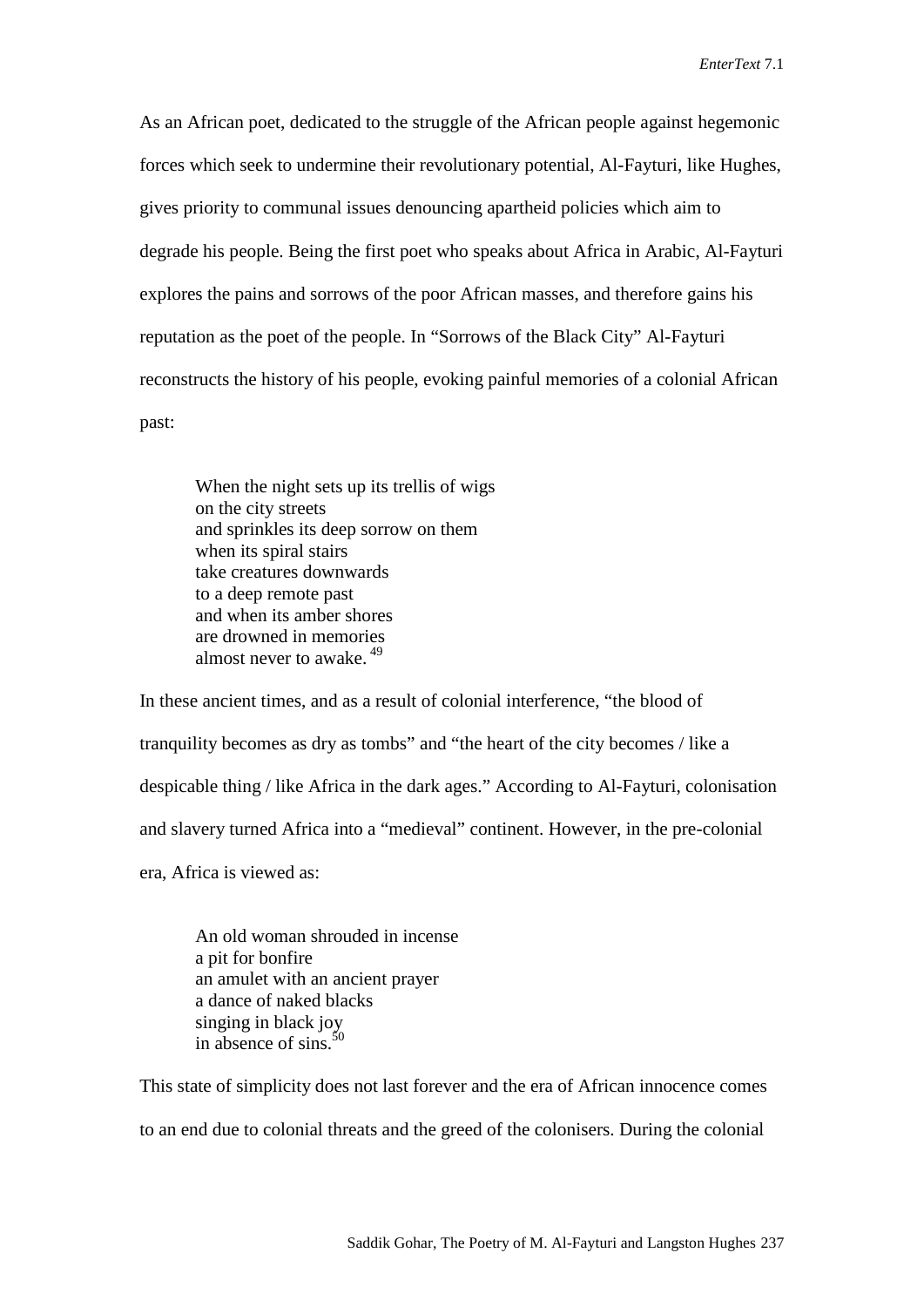As an African poet, dedicated to the struggle of the African people against hegemonic forces which seek to undermine their revolutionary potential, Al-Fayturi, like Hughes, gives priority to communal issues denouncing apartheid policies which aim to degrade his people. Being the first poet who speaks about Africa in Arabic, Al-Fayturi explores the pains and sorrows of the poor African masses, and therefore gains his reputation as the poet of the people. In "Sorrows of the Black City" Al-Fayturi reconstructs the history of his people, evoking painful memories of a colonial African past:

When the night sets up its trellis of wigs on the city streets and sprinkles its deep sorrow on them when its spiral stairs take creatures downwards to a deep remote past and when its amber shores are drowned in memories almost never to awake. <sup>49</sup>

In these ancient times, and as a result of colonial interference, "the blood of tranquility becomes as dry as tombs" and "the heart of the city becomes / like a despicable thing / like Africa in the dark ages." According to Al-Fayturi, colonisation and slavery turned Africa into a "medieval" continent. However, in the pre-colonial era, Africa is viewed as:

An old woman shrouded in incense a pit for bonfire an amulet with an ancient prayer a dance of naked blacks singing in black joy in absence of sins. $50$ 

This state of simplicity does not last forever and the era of African innocence comes to an end due to colonial threats and the greed of the colonisers. During the colonial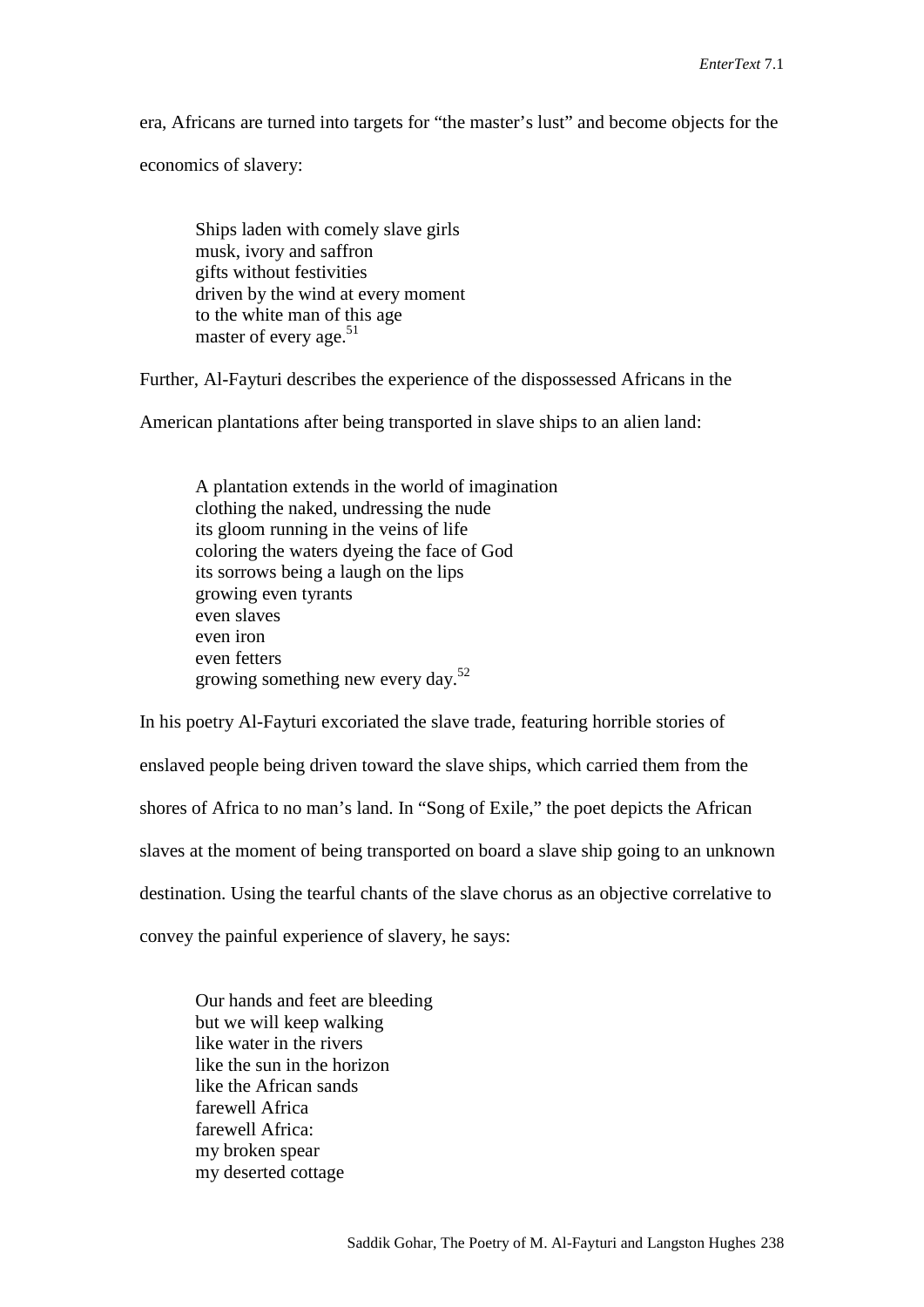era, Africans are turned into targets for "the master's lust" and become objects for the

economics of slavery:

Ships laden with comely slave girls musk, ivory and saffron gifts without festivities driven by the wind at every moment to the white man of this age master of every age. $51$ 

Further, Al-Fayturi describes the experience of the dispossessed Africans in the

American plantations after being transported in slave ships to an alien land:

A plantation extends in the world of imagination clothing the naked, undressing the nude its gloom running in the veins of life coloring the waters dyeing the face of God its sorrows being a laugh on the lips growing even tyrants even slaves even iron even fetters growing something new every day.52

In his poetry Al-Fayturi excoriated the slave trade, featuring horrible stories of enslaved people being driven toward the slave ships, which carried them from the shores of Africa to no man's land. In "Song of Exile," the poet depicts the African slaves at the moment of being transported on board a slave ship going to an unknown destination. Using the tearful chants of the slave chorus as an objective correlative to convey the painful experience of slavery, he says:

Our hands and feet are bleeding but we will keep walking like water in the rivers like the sun in the horizon like the African sands farewell Africa farewell Africa: my broken spear my deserted cottage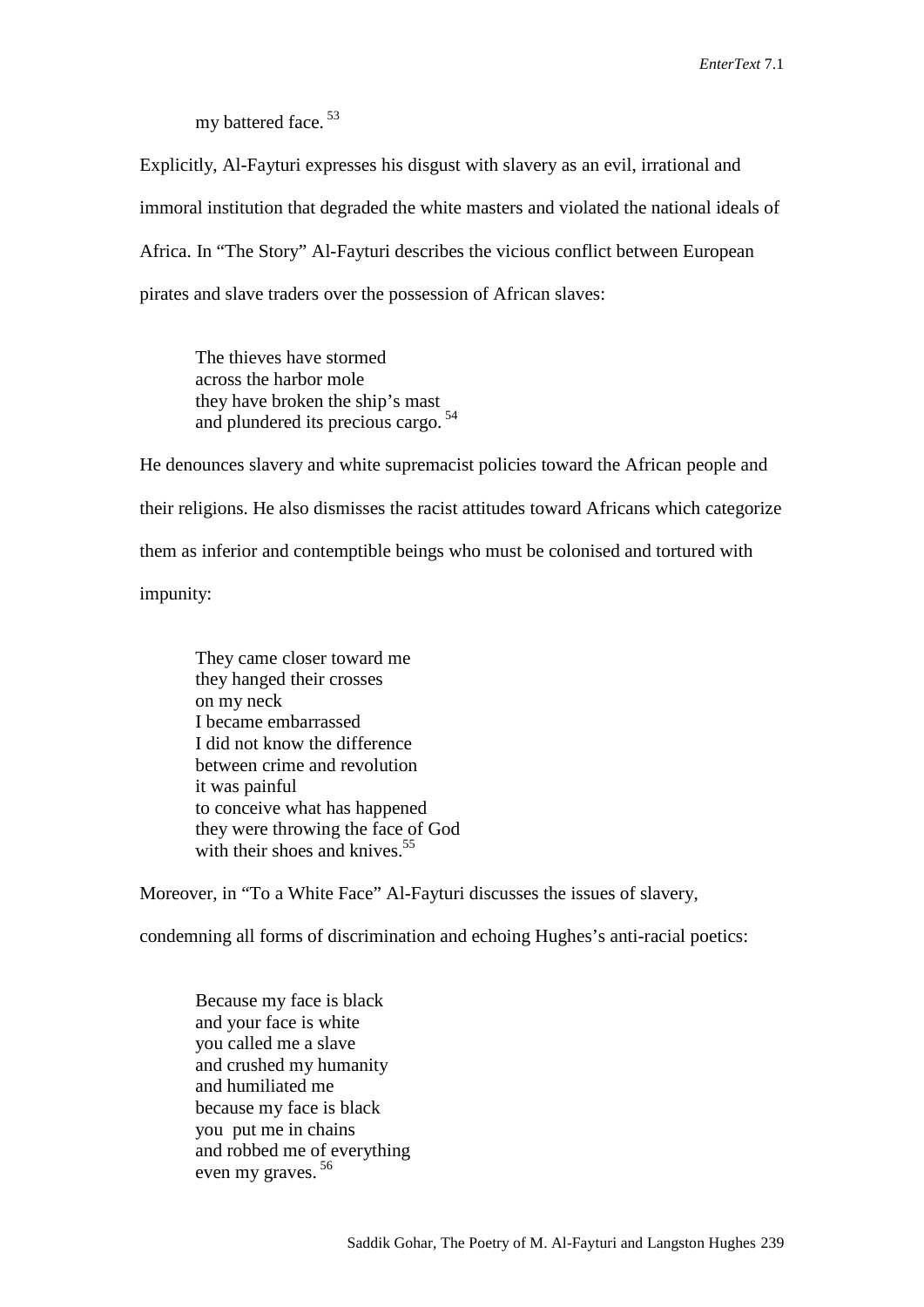my battered face. 53

Explicitly, Al-Fayturi expresses his disgust with slavery as an evil, irrational and immoral institution that degraded the white masters and violated the national ideals of Africa. In "The Story" Al-Fayturi describes the vicious conflict between European pirates and slave traders over the possession of African slaves:

The thieves have stormed across the harbor mole they have broken the ship's mast and plundered its precious cargo. 54

He denounces slavery and white supremacist policies toward the African people and their religions. He also dismisses the racist attitudes toward Africans which categorize them as inferior and contemptible beings who must be colonised and tortured with impunity:

They came closer toward me they hanged their crosses on my neck I became embarrassed I did not know the difference between crime and revolution it was painful to conceive what has happened they were throwing the face of God with their shoes and knives.<sup>55</sup>

Moreover, in "To a White Face" Al-Fayturi discusses the issues of slavery,

condemning all forms of discrimination and echoing Hughes's anti-racial poetics:

Because my face is black and your face is white you called me a slave and crushed my humanity and humiliated me because my face is black you put me in chains and robbed me of everything even my graves. 56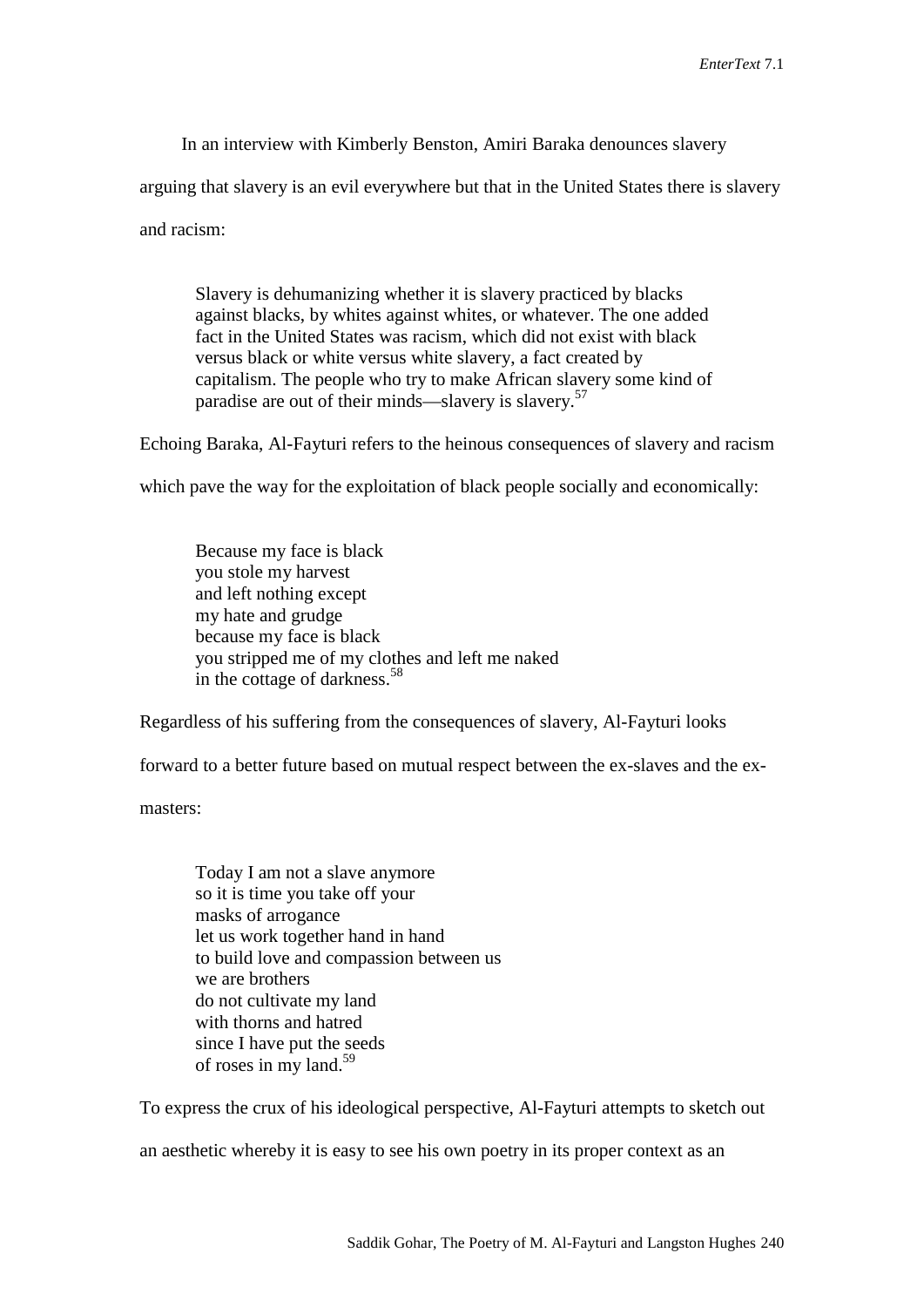In an interview with Kimberly Benston, Amiri Baraka denounces slavery

arguing that slavery is an evil everywhere but that in the United States there is slavery

and racism:

Slavery is dehumanizing whether it is slavery practiced by blacks against blacks, by whites against whites, or whatever. The one added fact in the United States was racism, which did not exist with black versus black or white versus white slavery, a fact created by capitalism. The people who try to make African slavery some kind of paradise are out of their minds—slavery is slavery.<sup>57</sup>

Echoing Baraka, Al-Fayturi refers to the heinous consequences of slavery and racism

which pave the way for the exploitation of black people socially and economically:

Because my face is black you stole my harvest and left nothing except my hate and grudge because my face is black you stripped me of my clothes and left me naked in the cottage of darkness.<sup>58</sup>

Regardless of his suffering from the consequences of slavery, Al-Fayturi looks

forward to a better future based on mutual respect between the ex-slaves and the ex-

masters:

Today I am not a slave anymore so it is time you take off your masks of arrogance let us work together hand in hand to build love and compassion between us we are brothers do not cultivate my land with thorns and hatred since I have put the seeds of roses in my land. 59

To express the crux of his ideological perspective, Al-Fayturi attempts to sketch out

an aesthetic whereby it is easy to see his own poetry in its proper context as an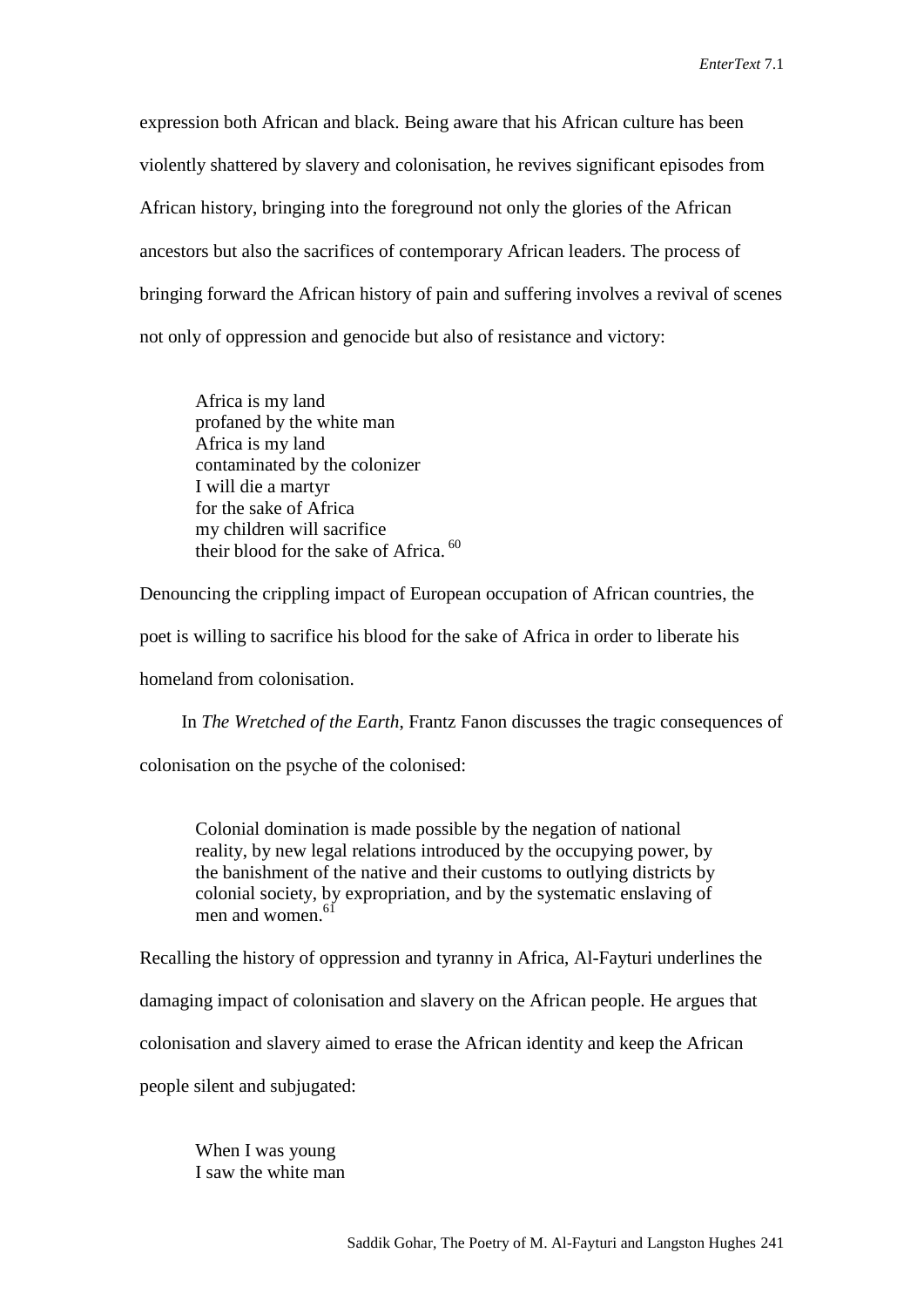expression both African and black. Being aware that his African culture has been violently shattered by slavery and colonisation, he revives significant episodes from African history, bringing into the foreground not only the glories of the African ancestors but also the sacrifices of contemporary African leaders. The process of bringing forward the African history of pain and suffering involves a revival of scenes not only of oppression and genocide but also of resistance and victory:

Africa is my land profaned by the white man Africa is my land contaminated by the colonizer I will die a martyr for the sake of Africa my children will sacrifice their blood for the sake of Africa.<sup>60</sup>

Denouncing the crippling impact of European occupation of African countries, the

poet is willing to sacrifice his blood for the sake of Africa in order to liberate his

homeland from colonisation.

In *The Wretched of the Earth*, Frantz Fanon discusses the tragic consequences of

colonisation on the psyche of the colonised:

Colonial domination is made possible by the negation of national reality, by new legal relations introduced by the occupying power, by the banishment of the native and their customs to outlying districts by colonial society, by expropriation, and by the systematic enslaving of men and women. 61

Recalling the history of oppression and tyranny in Africa, Al-Fayturi underlines the

damaging impact of colonisation and slavery on the African people. He argues that

colonisation and slavery aimed to erase the African identity and keep the African

people silent and subjugated:

When I was young I saw the white man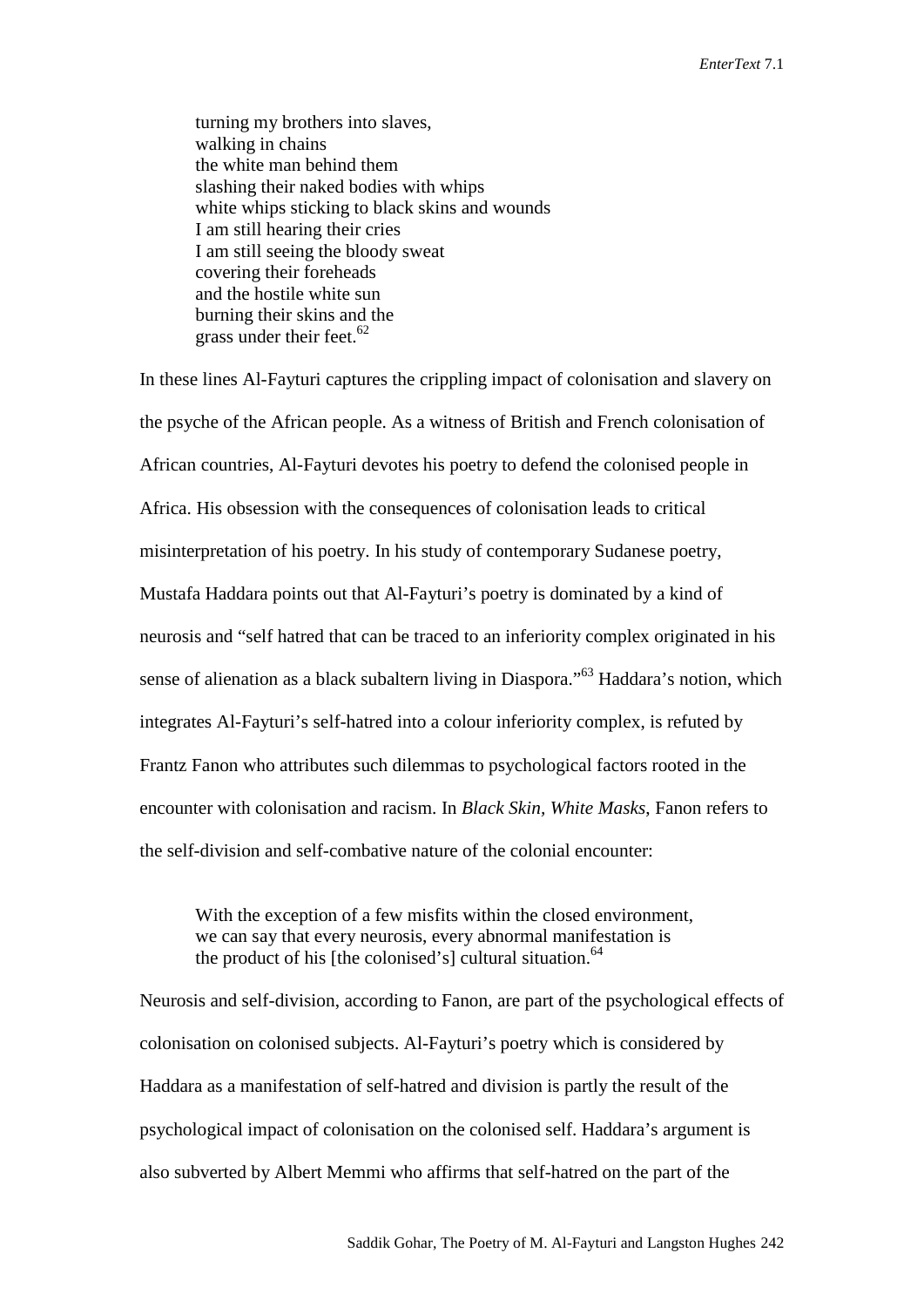turning my brothers into slaves, walking in chains the white man behind them slashing their naked bodies with whips white whips sticking to black skins and wounds I am still hearing their cries I am still seeing the bloody sweat covering their foreheads and the hostile white sun burning their skins and the grass under their feet. $62$ 

In these lines Al-Fayturi captures the crippling impact of colonisation and slavery on the psyche of the African people. As a witness of British and French colonisation of African countries, Al-Fayturi devotes his poetry to defend the colonised people in Africa. His obsession with the consequences of colonisation leads to critical misinterpretation of his poetry. In his study of contemporary Sudanese poetry, Mustafa Haddara points out that Al-Fayturi's poetry is dominated by a kind of neurosis and "self hatred that can be traced to an inferiority complex originated in his sense of alienation as a black subaltern living in Diaspora."<sup>63</sup> Haddara's notion, which integrates Al-Fayturi's self-hatred into a colour inferiority complex, is refuted by Frantz Fanon who attributes such dilemmas to psychological factors rooted in the encounter with colonisation and racism. In *Black Skin, White Masks*, Fanon refers to the self-division and self-combative nature of the colonial encounter:

With the exception of a few misfits within the closed environment, we can say that every neurosis, every abnormal manifestation is the product of his [the colonised's] cultural situation.<sup>64</sup>

Neurosis and self-division, according to Fanon, are part of the psychological effects of colonisation on colonised subjects. Al-Fayturi's poetry which is considered by Haddara as a manifestation of self-hatred and division is partly the result of the psychological impact of colonisation on the colonised self. Haddara's argument is also subverted by Albert Memmi who affirms that self-hatred on the part of the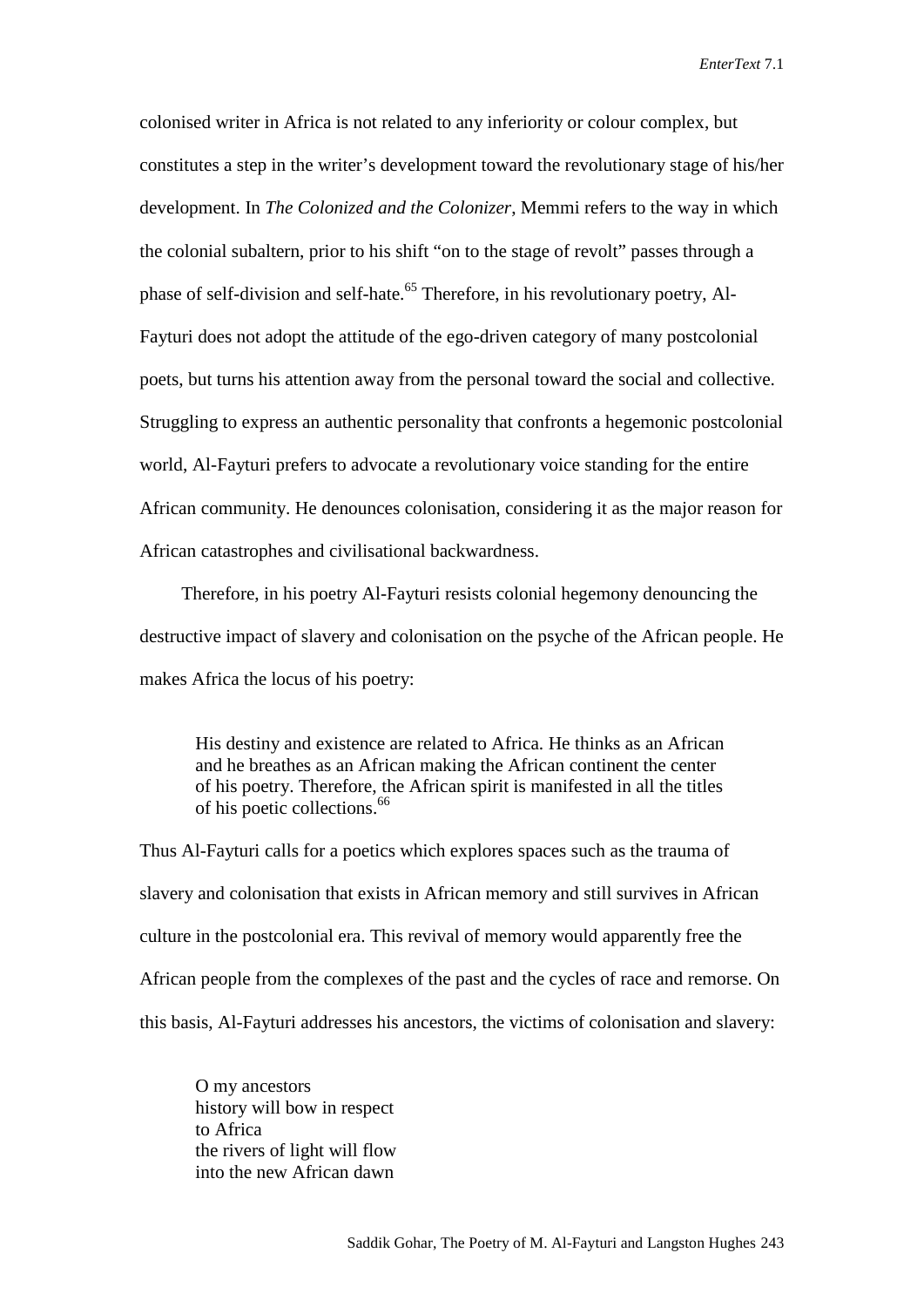colonised writer in Africa is not related to any inferiority or colour complex, but constitutes a step in the writer's development toward the revolutionary stage of his/her development. In *The Colonized and the Colonizer*, Memmi refers to the way in which the colonial subaltern, prior to his shift "on to the stage of revolt" passes through a phase of self-division and self-hate.<sup>65</sup> Therefore, in his revolutionary poetry, Al-Fayturi does not adopt the attitude of the ego-driven category of many postcolonial poets, but turns his attention away from the personal toward the social and collective. Struggling to express an authentic personality that confronts a hegemonic postcolonial world, Al-Fayturi prefers to advocate a revolutionary voice standing for the entire African community. He denounces colonisation, considering it as the major reason for African catastrophes and civilisational backwardness.

Therefore, in his poetry Al-Fayturi resists colonial hegemony denouncing the destructive impact of slavery and colonisation on the psyche of the African people. He makes Africa the locus of his poetry:

His destiny and existence are related to Africa. He thinks as an African and he breathes as an African making the African continent the center of his poetry. Therefore, the African spirit is manifested in all the titles of his poetic collections. 66

Thus Al-Fayturi calls for a poetics which explores spaces such as the trauma of slavery and colonisation that exists in African memory and still survives in African culture in the postcolonial era. This revival of memory would apparently free the African people from the complexes of the past and the cycles of race and remorse. On this basis, Al-Fayturi addresses his ancestors, the victims of colonisation and slavery:

O my ancestors history will bow in respect to Africa the rivers of light will flow into the new African dawn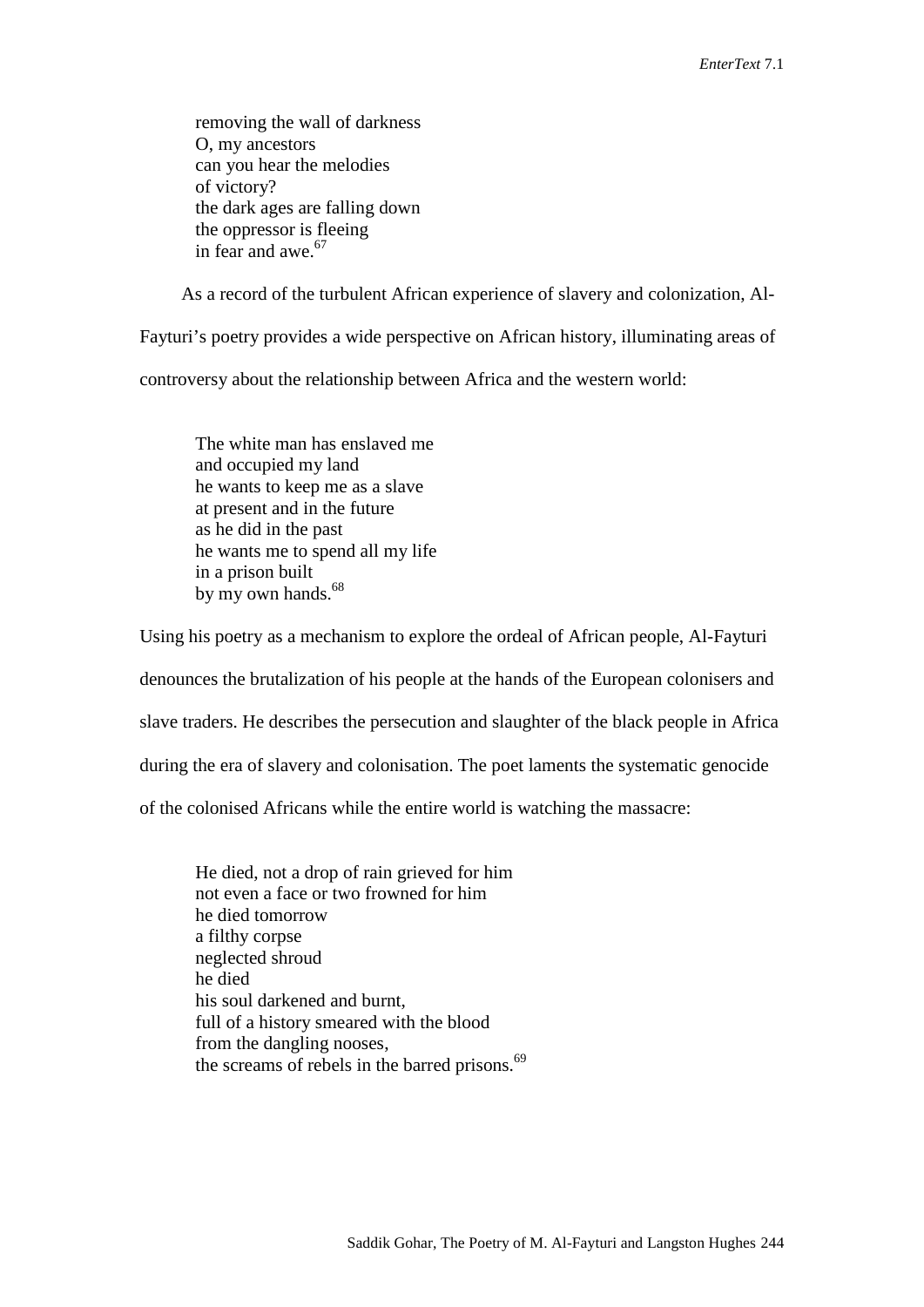removing the wall of darkness O, my ancestors can you hear the melodies of victory? the dark ages are falling down the oppressor is fleeing in fear and awe. 67

As a record of the turbulent African experience of slavery and colonization, Al-

Fayturi's poetry provides a wide perspective on African history, illuminating areas of controversy about the relationship between Africa and the western world:

The white man has enslaved me and occupied my land he wants to keep me as a slave at present and in the future as he did in the past he wants me to spend all my life in a prison built by my own hands.<sup>68</sup>

Using his poetry as a mechanism to explore the ordeal of African people, Al-Fayturi denounces the brutalization of his people at the hands of the European colonisers and slave traders. He describes the persecution and slaughter of the black people in Africa during the era of slavery and colonisation. The poet laments the systematic genocide of the colonised Africans while the entire world is watching the massacre:

He died, not a drop of rain grieved for him not even a face or two frowned for him he died tomorrow a filthy corpse neglected shroud he died his soul darkened and burnt, full of a history smeared with the blood from the dangling nooses, the screams of rebels in the barred prisons.<sup>69</sup>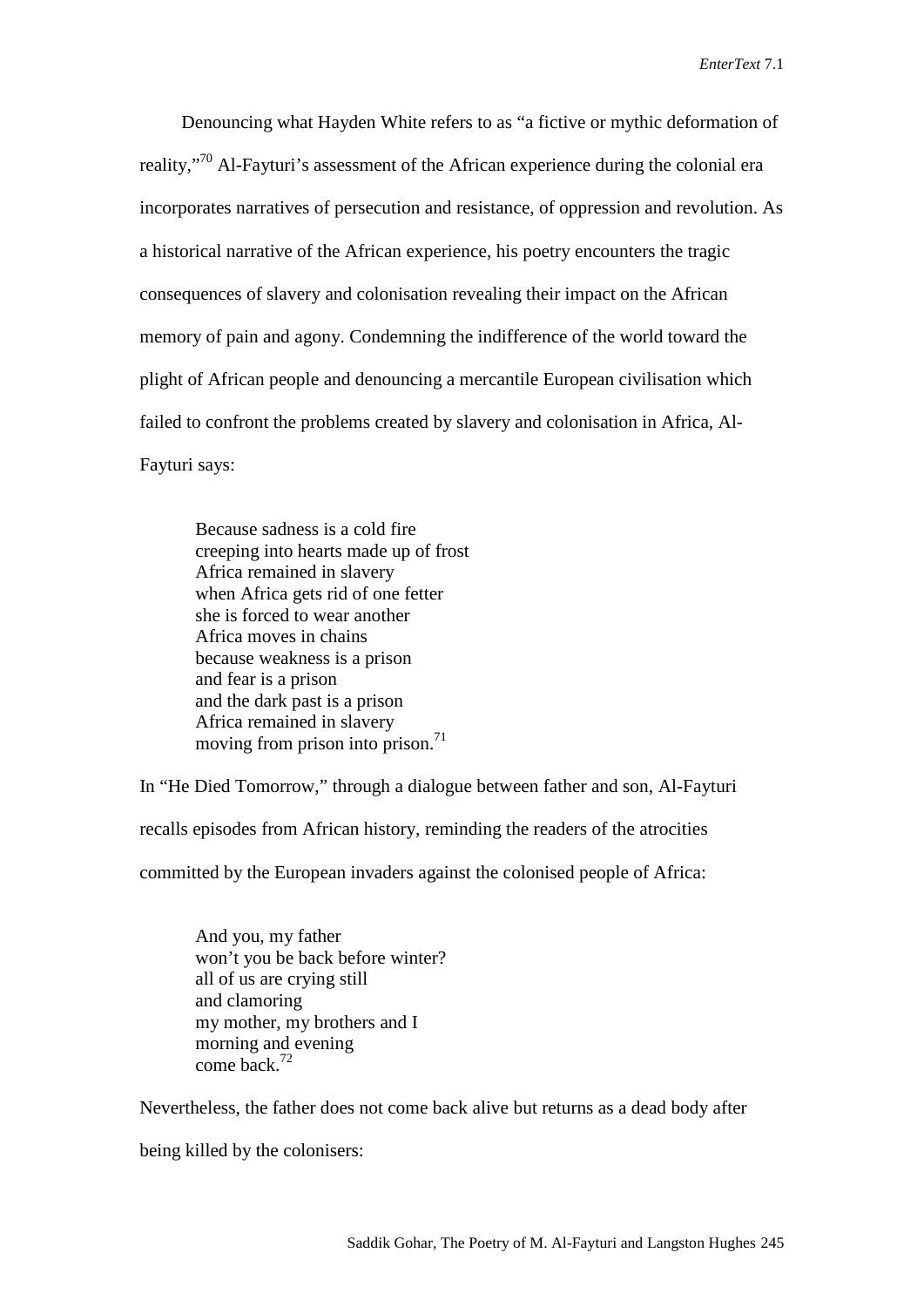Denouncing what Hayden White refers to as "a fictive or mythic deformation of reality,<sup>"70</sup> Al-Fayturi's assessment of the African experience during the colonial era incorporates narratives of persecution and resistance, of oppression and revolution. As a historical narrative of the African experience, his poetry encounters the tragic consequences of slavery and colonisation revealing their impact on the African memory of pain and agony. Condemning the indifference of the world toward the plight of African people and denouncing a mercantile European civilisation which failed to confront the problems created by slavery and colonisation in Africa, Al-Fayturi says:

Because sadness is a cold fire creeping into hearts made up of frost Africa remained in slavery when Africa gets rid of one fetter she is forced to wear another Africa moves in chains because weakness is a prison and fear is a prison and the dark past is a prison Africa remained in slavery moving from prison into prison.<sup>71</sup>

In "He Died Tomorrow," through a dialogue between father and son, Al-Fayturi recalls episodes from African history, reminding the readers of the atrocities

committed by the European invaders against the colonised people of Africa:

And you, my father won't you be back before winter? all of us are crying still and clamoring my mother, my brothers and I morning and evening come back. 72

Nevertheless, the father does not come back alive but returns as a dead body after

being killed by the colonisers: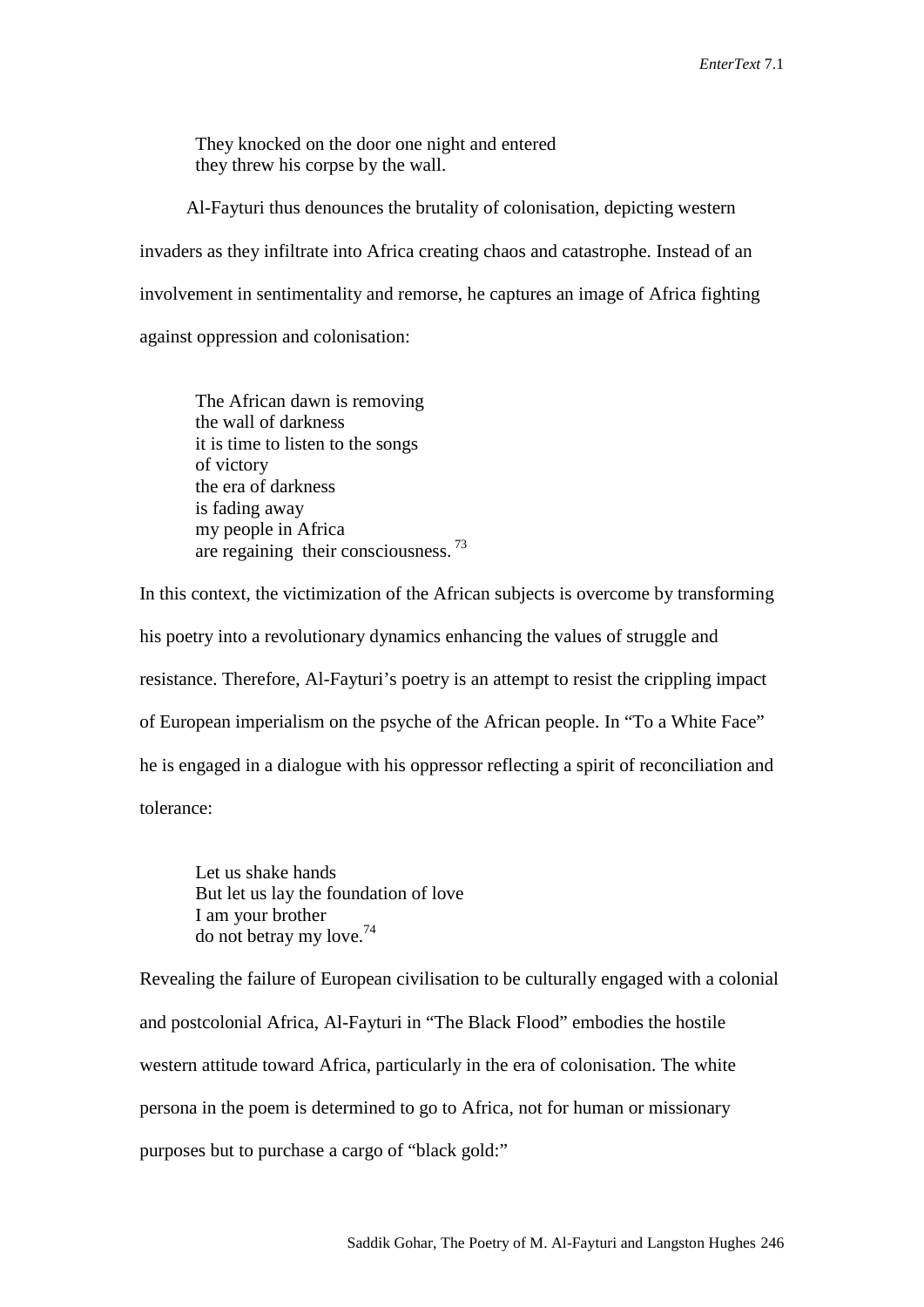They knocked on the door one night and entered they threw his corpse by the wall.

Al-Fayturi thus denounces the brutality of colonisation, depicting western invaders as they infiltrate into Africa creating chaos and catastrophe. Instead of an involvement in sentimentality and remorse, he captures an image of Africa fighting against oppression and colonisation:

The African dawn is removing the wall of darkness it is time to listen to the songs of victory the era of darkness is fading away my people in Africa are regaining their consciousness.<sup>73</sup>

In this context, the victimization of the African subjects is overcome by transforming his poetry into a revolutionary dynamics enhancing the values of struggle and resistance. Therefore, Al-Fayturi's poetry is an attempt to resist the crippling impact of European imperialism on the psyche of the African people. In "To a White Face" he is engaged in a dialogue with his oppressor reflecting a spirit of reconciliation and tolerance:

Let us shake hands But let us lay the foundation of love I am your brother do not betray my love. 74

Revealing the failure of European civilisation to be culturally engaged with a colonial and postcolonial Africa, Al-Fayturi in "The Black Flood" embodies the hostile western attitude toward Africa, particularly in the era of colonisation. The white persona in the poem is determined to go to Africa, not for human or missionary purposes but to purchase a cargo of "black gold:"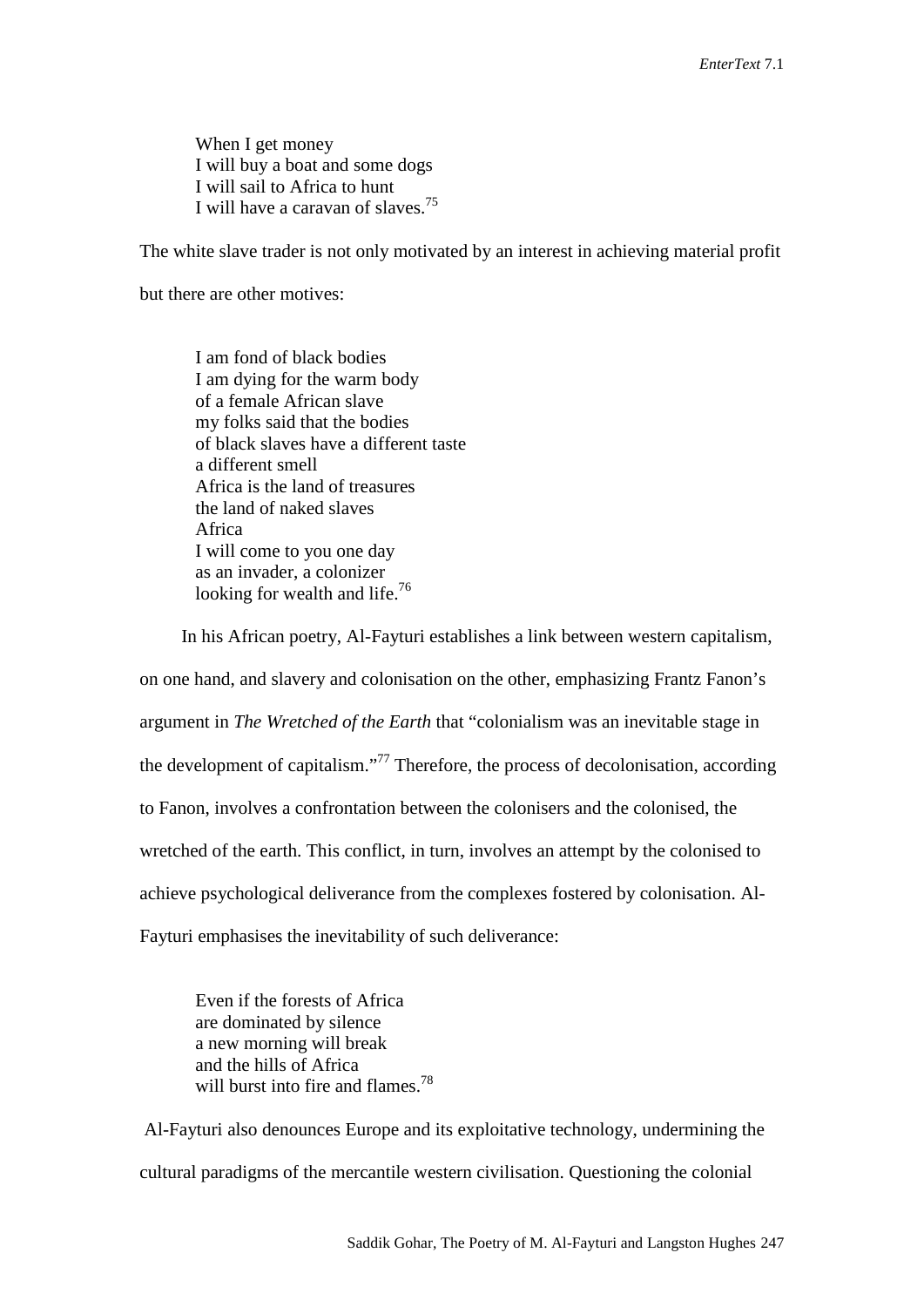When I get money I will buy a boat and some dogs I will sail to Africa to hunt I will have a caravan of slaves.<sup>75</sup>

The white slave trader is not only motivated by an interest in achieving material profit

but there are other motives:

I am fond of black bodies I am dying for the warm body of a female African slave my folks said that the bodies of black slaves have a different taste a different smell Africa is the land of treasures the land of naked slaves Africa I will come to you one day as an invader, a colonizer looking for wealth and life.<sup>76</sup>

In his African poetry, Al-Fayturi establishes a link between western capitalism, on one hand, and slavery and colonisation on the other, emphasizing Frantz Fanon's argument in *The Wretched of the Earth* that "colonialism was an inevitable stage in the development of capitalism."77 Therefore, the process of decolonisation, according to Fanon, involves a confrontation between the colonisers and the colonised, the wretched of the earth. This conflict, in turn, involves an attempt by the colonised to achieve psychological deliverance from the complexes fostered by colonisation. Al-Fayturi emphasises the inevitability of such deliverance:

Even if the forests of Africa are dominated by silence a new morning will break and the hills of Africa will burst into fire and flames.<sup>78</sup>

Al-Fayturi also denounces Europe and its exploitative technology, undermining the cultural paradigms of the mercantile western civilisation. Questioning the colonial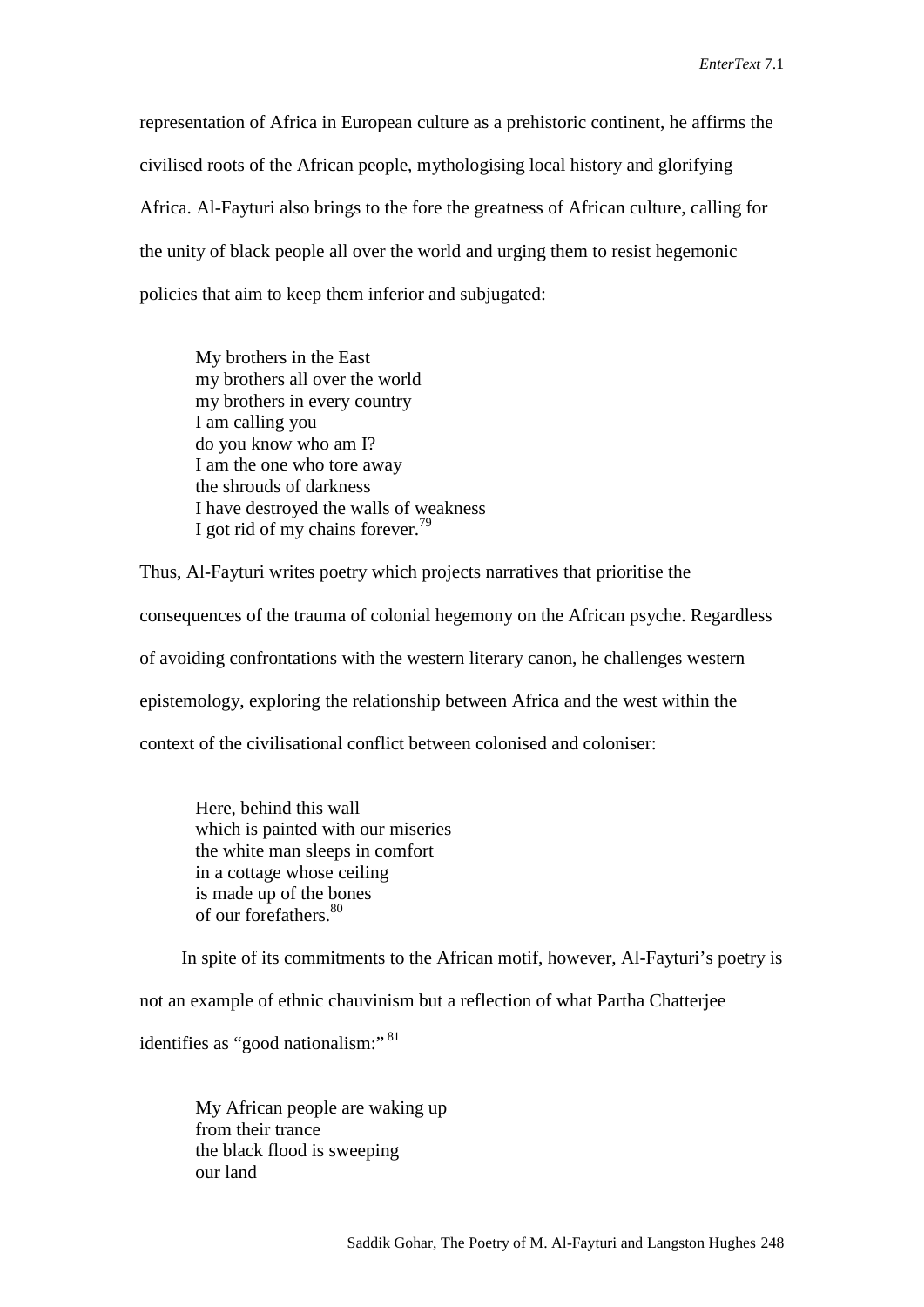representation of Africa in European culture as a prehistoric continent, he affirms the civilised roots of the African people, mythologising local history and glorifying Africa. Al-Fayturi also brings to the fore the greatness of African culture, calling for the unity of black people all over the world and urging them to resist hegemonic policies that aim to keep them inferior and subjugated:

My brothers in the East my brothers all over the world my brothers in every country I am calling you do you know who am I? I am the one who tore away the shrouds of darkness I have destroyed the walls of weakness I got rid of my chains forever.<sup>79</sup>

Thus, Al-Fayturi writes poetry which projects narratives that prioritise the consequences of the trauma of colonial hegemony on the African psyche. Regardless of avoiding confrontations with the western literary canon, he challenges western epistemology, exploring the relationship between Africa and the west within the context of the civilisational conflict between colonised and coloniser:

Here, behind this wall which is painted with our miseries the white man sleeps in comfort in a cottage whose ceiling is made up of the bones of our forefathers. 80

In spite of its commitments to the African motif, however, Al-Fayturi's poetry is

not an example of ethnic chauvinism but a reflection of what Partha Chatterjee

identifies as "good nationalism:"<sup>81</sup>

My African people are waking up from their trance the black flood is sweeping our land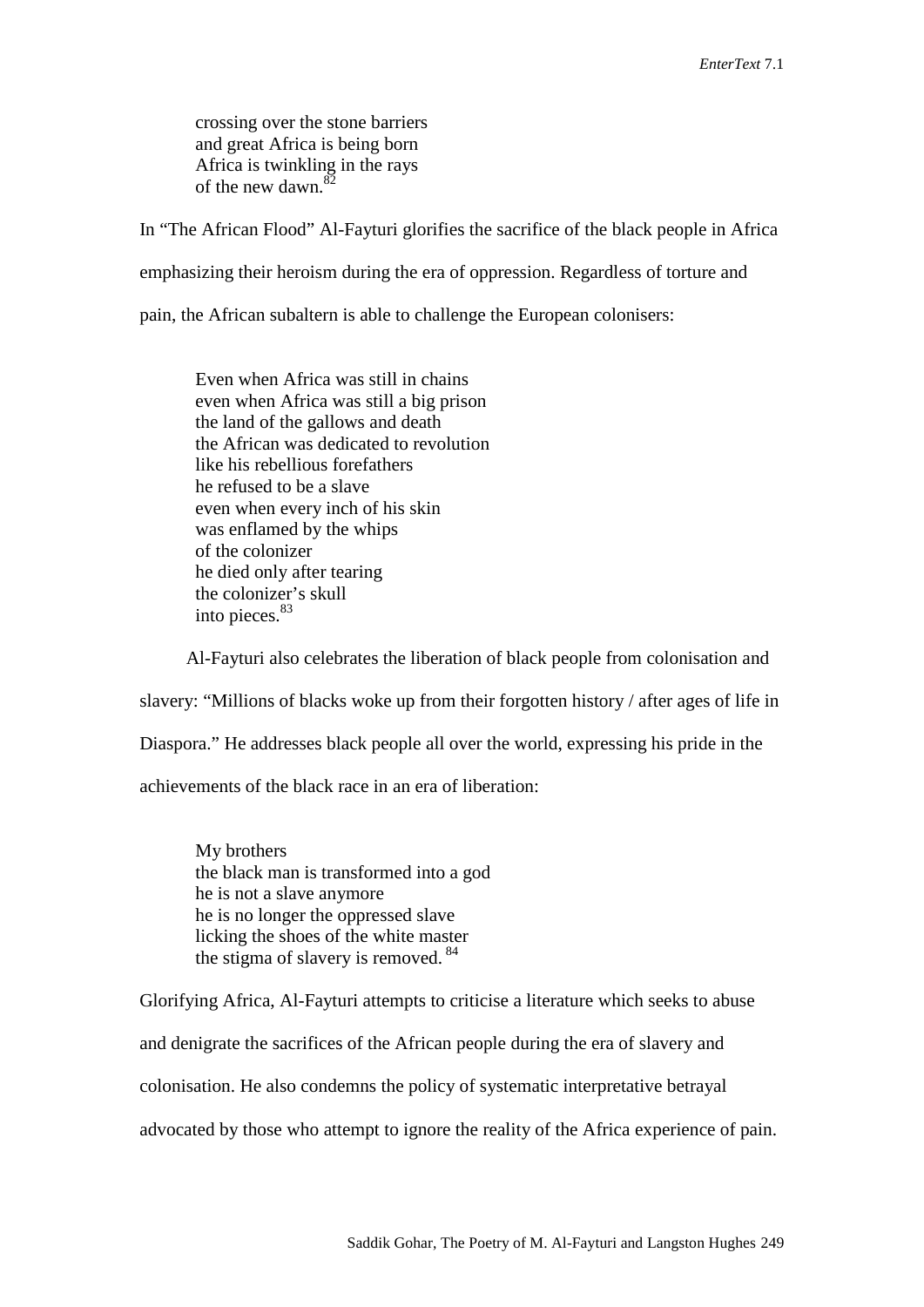crossing over the stone barriers and great Africa is being born Africa is twinkling in the rays of the new dawn.<sup>82</sup>

In "The African Flood" Al-Fayturi glorifies the sacrifice of the black people in Africa

emphasizing their heroism during the era of oppression. Regardless of torture and

pain, the African subaltern is able to challenge the European colonisers:

Even when Africa was still in chains even when Africa was still a big prison the land of the gallows and death the African was dedicated to revolution like his rebellious forefathers he refused to be a slave even when every inch of his skin was enflamed by the whips of the colonizer he died only after tearing the colonizer's skull into pieces. 83

Al-Fayturi also celebrates the liberation of black people from colonisation and slavery: "Millions of blacks woke up from their forgotten history / after ages of life in Diaspora." He addresses black people all over the world, expressing his pride in the achievements of the black race in an era of liberation:

My brothers the black man is transformed into a god he is not a slave anymore he is no longer the oppressed slave licking the shoes of the white master the stigma of slavery is removed.<sup>84</sup>

Glorifying Africa, Al-Fayturi attempts to criticise a literature which seeks to abuse and denigrate the sacrifices of the African people during the era of slavery and colonisation. He also condemns the policy of systematic interpretative betrayal advocated by those who attempt to ignore the reality of the Africa experience of pain.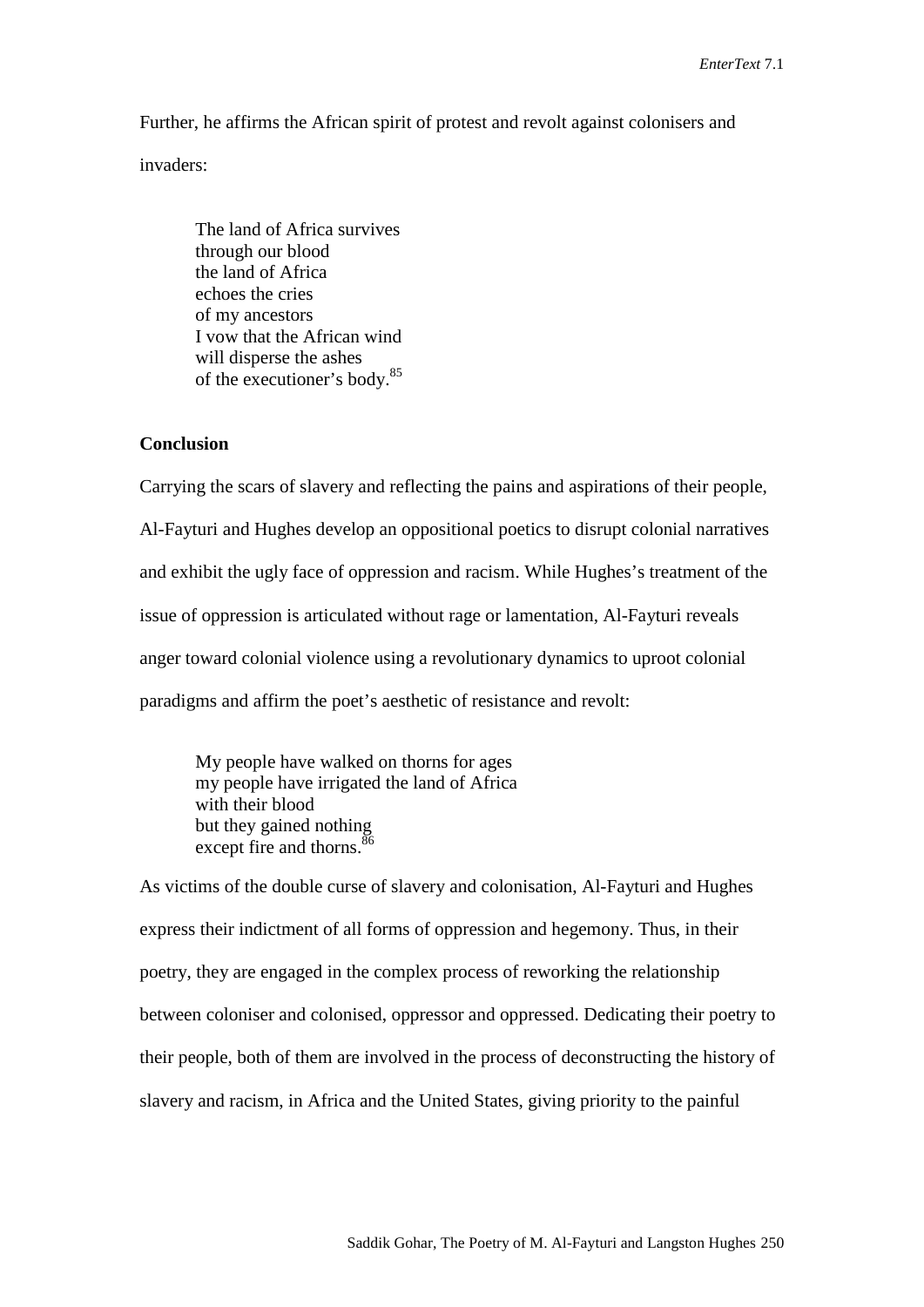Further, he affirms the African spirit of protest and revolt against colonisers and

invaders:

The land of Africa survives through our blood the land of Africa echoes the cries of my ancestors I vow that the African wind will disperse the ashes of the executioner's body. 85

## **Conclusion**

Carrying the scars of slavery and reflecting the pains and aspirations of their people, Al-Fayturi and Hughes develop an oppositional poetics to disrupt colonial narratives and exhibit the ugly face of oppression and racism. While Hughes's treatment of the issue of oppression is articulated without rage or lamentation, Al-Fayturi reveals anger toward colonial violence using a revolutionary dynamics to uproot colonial paradigms and affirm the poet's aesthetic of resistance and revolt:

My people have walked on thorns for ages my people have irrigated the land of Africa with their blood but they gained nothing except fire and thorns.<sup>86</sup>

As victims of the double curse of slavery and colonisation, Al-Fayturi and Hughes express their indictment of all forms of oppression and hegemony. Thus, in their poetry, they are engaged in the complex process of reworking the relationship between coloniser and colonised, oppressor and oppressed. Dedicating their poetry to their people, both of them are involved in the process of deconstructing the history of slavery and racism, in Africa and the United States, giving priority to the painful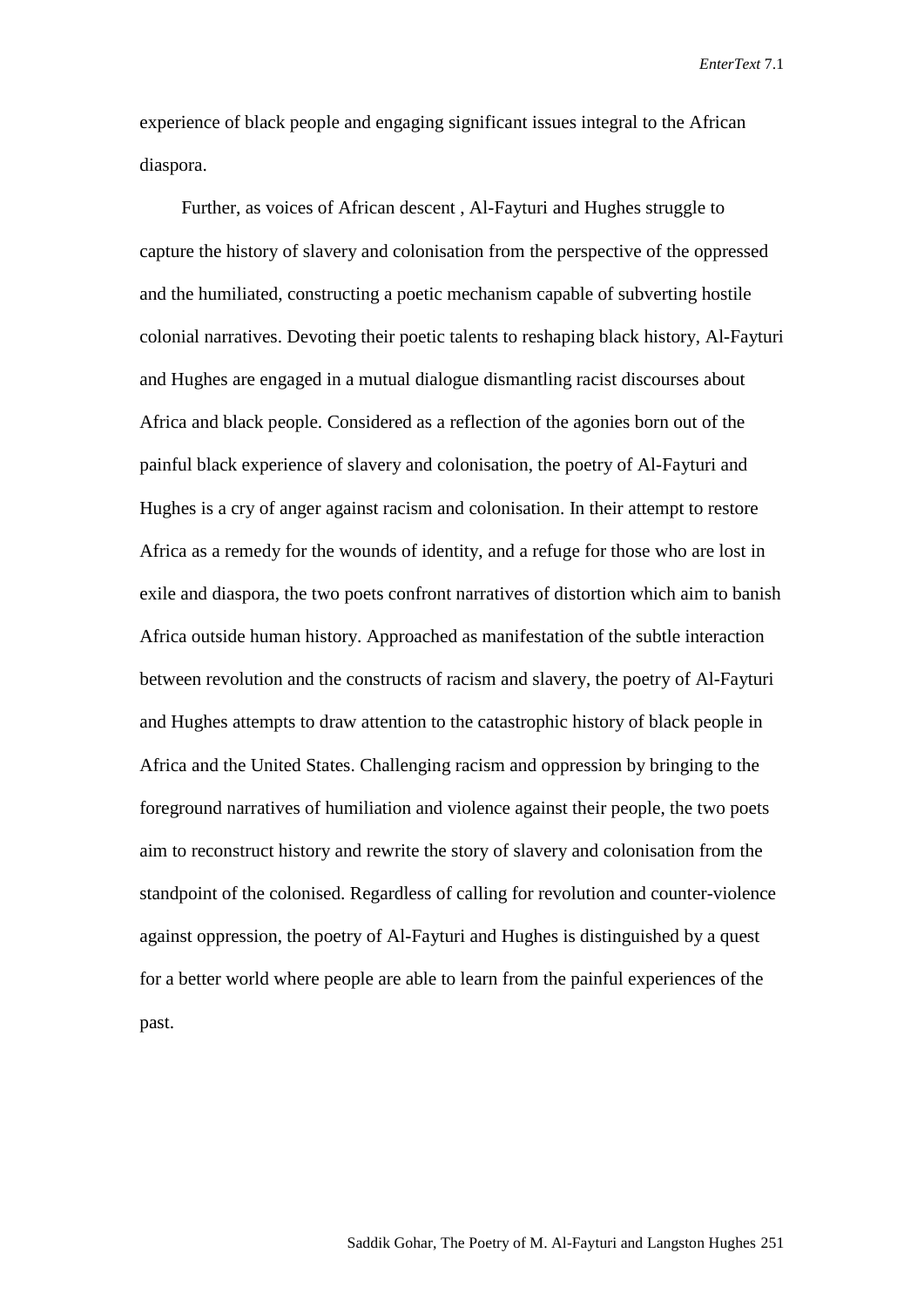experience of black people and engaging significant issues integral to the African diaspora.

Further, as voices of African descent , Al-Fayturi and Hughes struggle to capture the history of slavery and colonisation from the perspective of the oppressed and the humiliated, constructing a poetic mechanism capable of subverting hostile colonial narratives. Devoting their poetic talents to reshaping black history, Al-Fayturi and Hughes are engaged in a mutual dialogue dismantling racist discourses about Africa and black people. Considered as a reflection of the agonies born out of the painful black experience of slavery and colonisation, the poetry of Al-Fayturi and Hughes is a cry of anger against racism and colonisation. In their attempt to restore Africa as a remedy for the wounds of identity, and a refuge for those who are lost in exile and diaspora, the two poets confront narratives of distortion which aim to banish Africa outside human history. Approached as manifestation of the subtle interaction between revolution and the constructs of racism and slavery, the poetry of Al-Fayturi and Hughes attempts to draw attention to the catastrophic history of black people in Africa and the United States. Challenging racism and oppression by bringing to the foreground narratives of humiliation and violence against their people, the two poets aim to reconstruct history and rewrite the story of slavery and colonisation from the standpoint of the colonised. Regardless of calling for revolution and counter-violence against oppression, the poetry of Al-Fayturi and Hughes is distinguished by a quest for a better world where people are able to learn from the painful experiences of the past.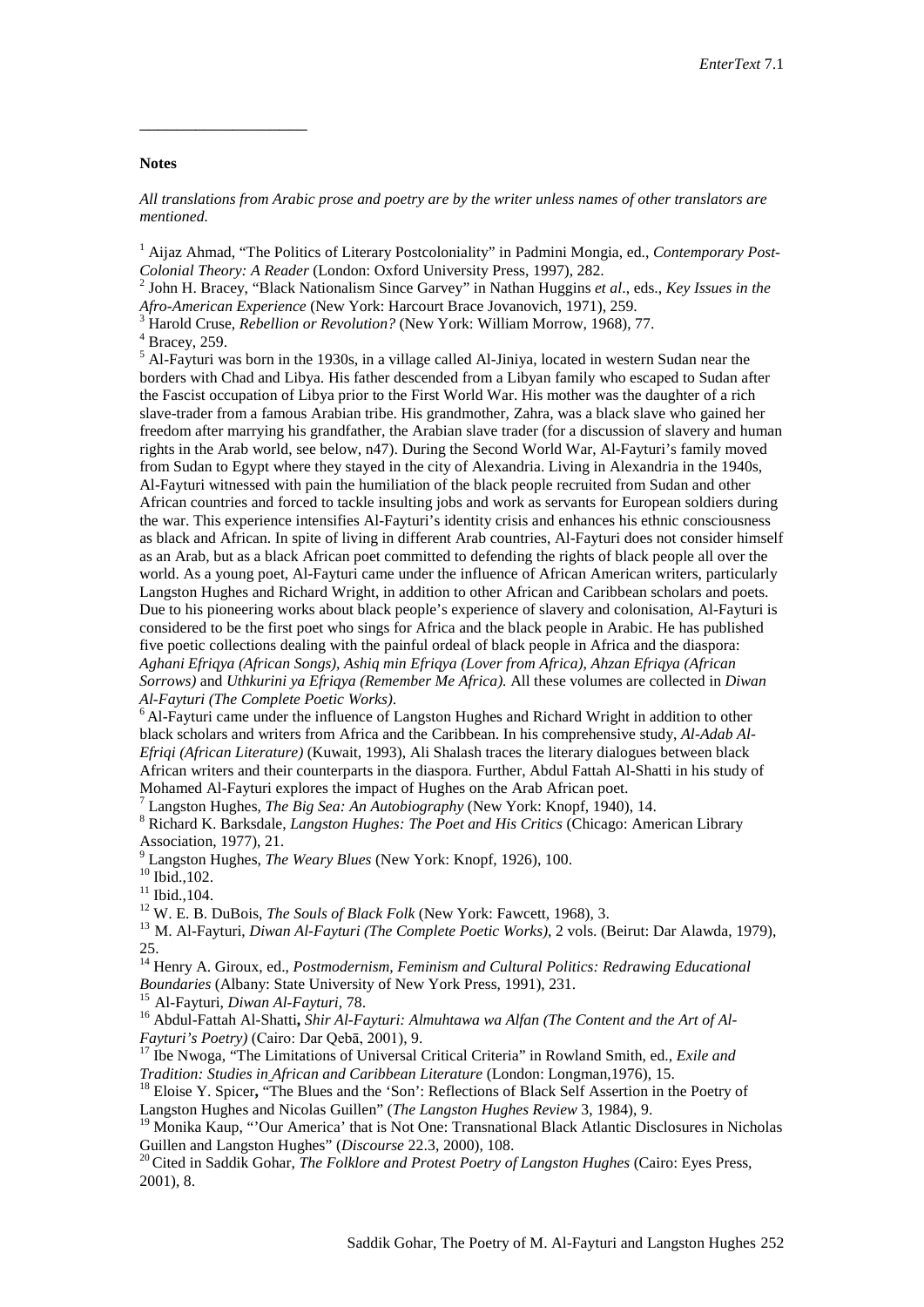#### **Notes**

\_\_\_\_\_\_\_\_\_\_\_\_\_\_\_\_\_\_

*All translations from Arabic prose and poetry are by the writer unless names of other translators are mentioned.*

<sup>1</sup> Aijaz Ahmad, "The Politics of Literary Postcoloniality" in Padmini Mongia, ed., *Contemporary Post-*

*Colonial Theory: A Reader* (London: Oxford University Press, 1997), 282.<br><sup>2</sup> John H. Bracey, "Black Nationalism Since Garvey" in Nathan Huggins *et al.*, eds., *Key Issues in the Afro-American Experience* (New York: Harco

<sup>3</sup> Harold Cruse, *Rebellion or Revolution?* (New York: William Morrow, 1968), 77.<br><sup>4</sup> Bracey, 259.<br><sup>5</sup> Al-Fayturi was born in the 1930s, in a village called Al-Jiniya, located in western Sudan near the borders with Chad and Libya. His father descended from a Libyan family who escaped to Sudan after the Fascist occupation of Libya prior to the First World War. His mother was the daughter of a rich slave-trader from a famous Arabian tribe. His grandmother, Zahra, was a black slave who gained her freedom after marrying his grandfather, the Arabian slave trader (for a discussion of slavery and human rights in the Arab world, see below, n47). During the Second World War, Al-Fayturi's family moved from Sudan to Egypt where they stayed in the city of Alexandria. Living in Alexandria in the 1940s, Al-Fayturi witnessed with pain the humiliation of the black people recruited from Sudan and other African countries and forced to tackle insulting jobs and work as servants for European soldiers during the war. This experience intensifies Al-Fayturi's identity crisis and enhances his ethnic consciousness as black and African. In spite of living in different Arab countries, Al-Fayturi does not consider himself as an Arab, but as a black African poet committed to defending the rights of black people all over the world. As a young poet, Al-Fayturi came under the influence of African American writers, particularly Langston Hughes and Richard Wright, in addition to other African and Caribbean scholars and poets. Due to his pioneering works about black people's experience of slavery and colonisation, Al-Fayturi is considered to be the first poet who sings for Africa and the black people in Arabic. He has published five poetic collections dealing with the painful ordeal of black people in Africa and the diaspora: *Aghani Efriqya (African Songs)*, *Ashiq min Efriqya (Lover from Africa)*, *Ahzan Efriqya (African Sorrows)* and *Uthkurini ya Efriqya (Remember Me Africa).* All these volumes are collected in *Diwan* 

*Al-Fayturi (The Complete Poetic Works)*. 6 Al-Fayturi came under the influence of Langston Hughes and Richard Wright in addition to other black scholars and writers from Africa and the Caribbean. In his comprehensive study, *Al-Adab Al-Efriqi (African Literature)* (Kuwait, 1993), Ali Shalash traces the literary dialogues between black African writers and their counterparts in the diaspora. Further, Abdul Fattah Al-Shatti in his study of

<sup>7</sup> Langston Hughes, *The Big Sea: An Autobiography* (New York: Knopf, 1940), 14.<br><sup>8</sup> Richard K. Barksdale, *Langston Hughes: The Poet and His Critics* (Chicago: American Library Association, 1977), 21.<br><sup>9</sup> Langston Hughes, *The Weary Blues* (New York: Knopf, 1926), 100.<br><sup>10</sup> Ibid., 102.<br><sup>11</sup> Ibid., 104.<br><sup>12</sup> W. E. B. DuBois, *The Souls of Black Folk* (New York: Fawcett, 1968), 3.<br><sup>13</sup> M. Al-Faytur

25. 14 Henry A. Giroux, ed., *Postmodernism, Feminism and Cultural Politics: Redrawing Educational* 

<sup>15</sup> Al-Fayturi, *Diwan Al-Fayturi*, 78.<br><sup>16</sup> Abdul-Fattah Al-Shatti, *Shir Al-Fayturi: Almuhtawa wa Alfan (The Content and the Art of Al-Fayturi's Poetry)* (Cairo: Dar Qebā, 2001), 9. 17 Ibe Nwoga, "The Limitations of Universal Critical Criteria" in Rowland Smith, ed., *Exile and* 

*Tradition: Studies in African and Caribbean Literature* (London: Longman,1976), 15.<br><sup>18</sup> Eloise Y. Spicer, "The Blues and the 'Son': Reflections of Black Self Assertion in the Poetry of

Langston Hughes and Nicolas Guillen" (*The Langston Hughes Review* 3, 1984), 9.<br><sup>19</sup> Monika Kaup, "'Our America' that is Not One: Transnational Black Atlantic Disclosures in Nicholas<br>Guillen and Langston Hughes" (*Discours* 

<sup>20</sup> Cited in Saddik Gohar, *The Folklore and Protest Poetry of Langston Hughes* (Cairo: Eyes Press, 2001), 8.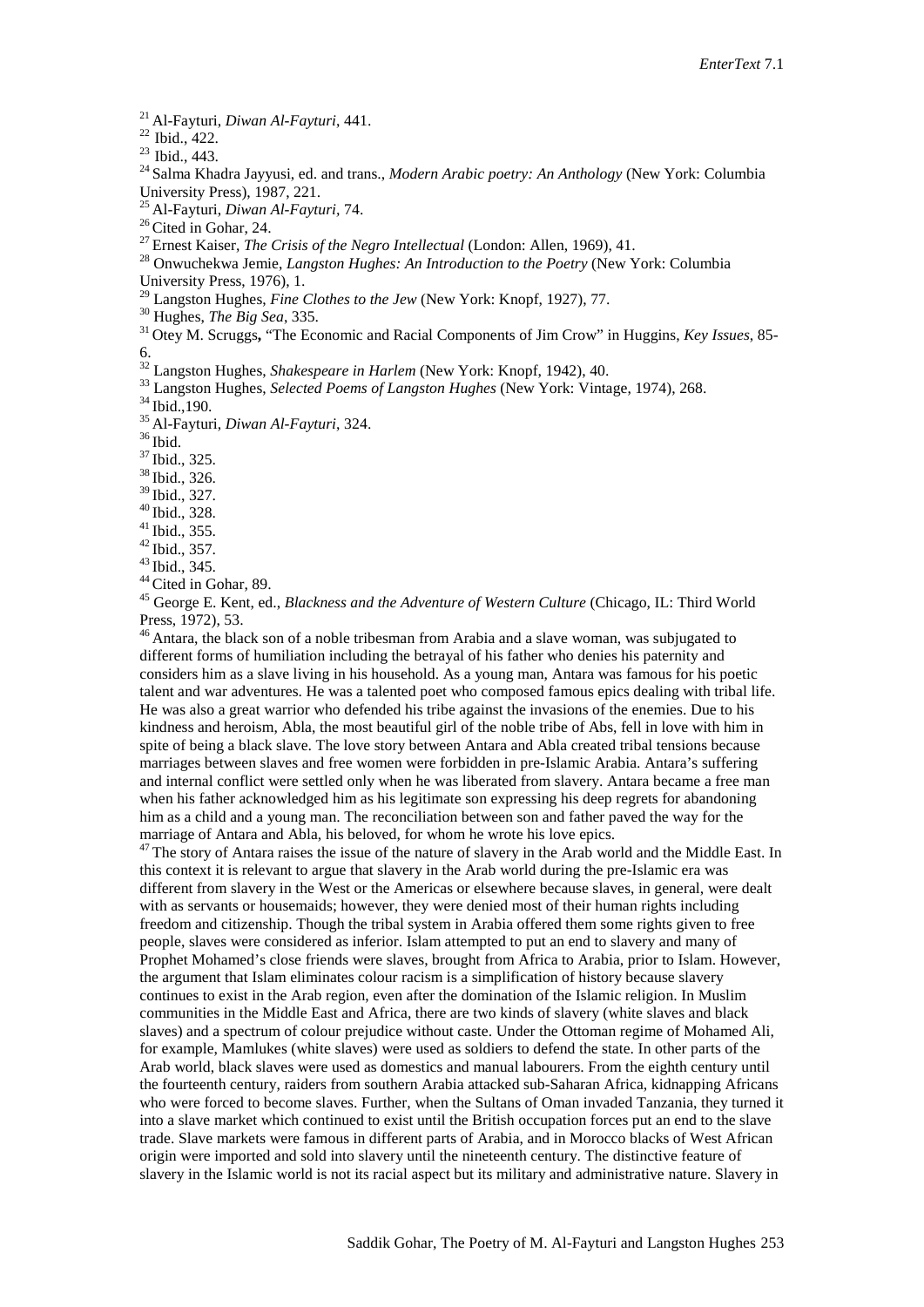<sup>21</sup> Al-Fayturi, *Diwan Al-Fayturi*, 441.<br><sup>22</sup> Ibid., 422.<br><sup>23</sup> Ibid., 443.<br><sup>24</sup> Salma Khadra Jayyusi, ed. and trans., *Modern Arabic poetry: An Anthology* (New York: Columbia<br>University Press). 1987. 221.

<sup>25</sup> Al-Fayturi, *Diwan Al-Fayturi*, 74.<br><sup>26</sup> Cited in Gohar, 24.<br><sup>27</sup> Ernest Kaiser, *The Crisis of the Negro Intellectual* (London: Allen, 1969), 41.<br><sup>27</sup> Ernest Kaiser, *The Crisis of the Negro Intellectual* (London: A

<sup>29</sup> Langston Hughes, *Fine Clothes to the Jew* (New York: Knopf, 1927), 77.<br><sup>30</sup> Hughes, *The Big Sea*, 335.<br><sup>31</sup> Otey M. Scruggs, "The Economic and Racial Components of Jim Crow" in Huggins, *Key Issues*, 85-

6.<br><sup>32</sup> Langston Hughes, *Shakespeare in Harlem* (New York: Knopf, 1942), 40.

<sup>33</sup> Langston Hughes, *Selected Poems of Langston Hughes* (New York: Vintage, 1974), 268.<br><sup>34</sup> Ibid., 190.<br><sup>35</sup> Al-Fayturi, *Diwan Al-Fayturi*, 324.<br><sup>36</sup> Ibid., 325.<br><sup>37</sup> Ibid., 325.<br><sup>38</sup> Ibid., 326.<br><sup>39</sup> Ibid., 326.

<sup>40</sup> Ibid., 328.<br>
<sup>41</sup> Ibid., 338.<br>
<sup>42</sup> Ibid., 355.<br>
<sup>43</sup> Ibid., 357.<br>
<sup>44</sup> Cited in Gohar, 89.<br>
<sup>45</sup> George E. Kent, ed., *Blackness and the Adventure of Western Culture* (Chicago, IL: Third World<br>
Press, 1972), 53.

<sup>46</sup> Antara, the black son of a noble tribesman from Arabia and a slave woman, was subjugated to different forms of humiliation including the betrayal of his father who denies his paternity and considers him as a slave living in his household. As a young man, Antara was famous for his poetic talent and war adventures. He was a talented poet who composed famous epics dealing with tribal life. He was also a great warrior who defended his tribe against the invasions of the enemies. Due to his kindness and heroism, Abla, the most beautiful girl of the noble tribe of Abs, fell in love with him in spite of being a black slave. The love story between Antara and Abla created tribal tensions because marriages between slaves and free women were forbidden in pre-Islamic Arabia. Antara's suffering and internal conflict were settled only when he was liberated from slavery. Antara became a free man when his father acknowledged him as his legitimate son expressing his deep regrets for abandoning him as a child and a young man. The reconciliation between son and father paved the way for the marriage of Antara and Abla, his beloved, for whom he wrote his love epics.

<sup>47</sup> The story of Antara raises the issue of the nature of slavery in the Arab world and the Middle East. In this context it is relevant to argue that slavery in the Arab world during the pre-Islamic era was different from slavery in the West or the Americas or elsewhere because slaves, in general, were dealt with as servants or housemaids; however, they were denied most of their human rights including freedom and citizenship. Though the tribal system in Arabia offered them some rights given to free people, slaves were considered as inferior. Islam attempted to put an end to slavery and many of Prophet Mohamed's close friends were slaves, brought from Africa to Arabia, prior to Islam. However, the argument that Islam eliminates colour racism is a simplification of history because slavery continues to exist in the Arab region, even after the domination of the Islamic religion. In Muslim communities in the Middle East and Africa, there are two kinds of slavery (white slaves and black slaves) and a spectrum of colour prejudice without caste. Under the Ottoman regime of Mohamed Ali, for example, Mamlukes (white slaves) were used as soldiers to defend the state. In other parts of the Arab world, black slaves were used as domestics and manual labourers. From the eighth century until the fourteenth century, raiders from southern Arabia attacked sub-Saharan Africa, kidnapping Africans who were forced to become slaves. Further, when the Sultans of Oman invaded Tanzania, they turned it into a slave market which continued to exist until the British occupation forces put an end to the slave trade. Slave markets were famous in different parts of Arabia, and in Morocco blacks of West African origin were imported and sold into slavery until the nineteenth century. The distinctive feature of slavery in the Islamic world is not its racial aspect but its military and administrative nature. Slavery in